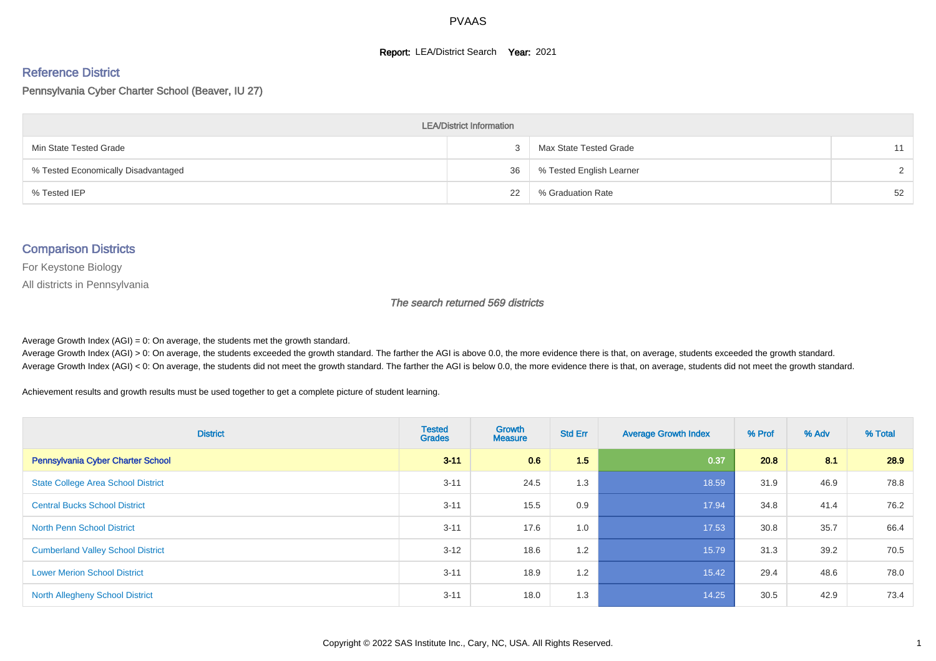#### **Report: LEA/District Search Year: 2021**

#### Reference District

Pennsylvania Cyber Charter School (Beaver, IU 27)

| <b>LEA/District Information</b>     |    |                          |               |  |  |  |  |  |  |
|-------------------------------------|----|--------------------------|---------------|--|--|--|--|--|--|
| Min State Tested Grade              |    | Max State Tested Grade   | 11            |  |  |  |  |  |  |
| % Tested Economically Disadvantaged | 36 | % Tested English Learner | $\mathcal{D}$ |  |  |  |  |  |  |
| % Tested IEP                        | 22 | % Graduation Rate        | 52            |  |  |  |  |  |  |

#### Comparison Districts

For Keystone Biology

All districts in Pennsylvania

The search returned 569 districts

Average Growth Index  $(AGI) = 0$ : On average, the students met the growth standard.

Average Growth Index (AGI) > 0: On average, the students exceeded the growth standard. The farther the AGI is above 0.0, the more evidence there is that, on average, students exceeded the growth standard. Average Growth Index (AGI) < 0: On average, the students did not meet the growth standard. The farther the AGI is below 0.0, the more evidence there is that, on average, students did not meet the growth standard.

Achievement results and growth results must be used together to get a complete picture of student learning.

| <b>District</b>                           | <b>Tested</b><br><b>Grades</b> | <b>Growth</b><br><b>Measure</b> | <b>Std Err</b> | <b>Average Growth Index</b> | % Prof | % Adv | % Total |
|-------------------------------------------|--------------------------------|---------------------------------|----------------|-----------------------------|--------|-------|---------|
| Pennsylvania Cyber Charter School         | $3 - 11$                       | 0.6                             | 1.5            | 0.37                        | 20.8   | 8.1   | 28.9    |
| <b>State College Area School District</b> | $3 - 11$                       | 24.5                            | 1.3            | 18.59                       | 31.9   | 46.9  | 78.8    |
| <b>Central Bucks School District</b>      | $3 - 11$                       | 15.5                            | 0.9            | 17.94                       | 34.8   | 41.4  | 76.2    |
| <b>North Penn School District</b>         | $3 - 11$                       | 17.6                            | 1.0            | 17.53                       | 30.8   | 35.7  | 66.4    |
| <b>Cumberland Valley School District</b>  | $3 - 12$                       | 18.6                            | 1.2            | 15.79                       | 31.3   | 39.2  | 70.5    |
| <b>Lower Merion School District</b>       | $3 - 11$                       | 18.9                            | 1.2            | 15.42                       | 29.4   | 48.6  | 78.0    |
| <b>North Allegheny School District</b>    | $3 - 11$                       | 18.0                            | 1.3            | 14.25                       | 30.5   | 42.9  | 73.4    |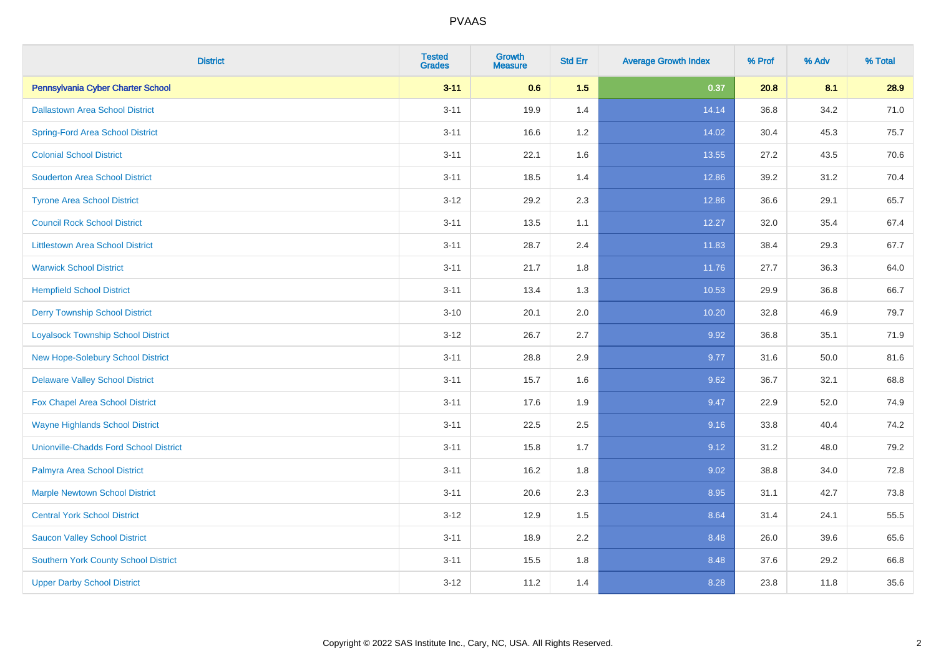| <b>District</b>                               | <b>Tested</b><br><b>Grades</b> | <b>Growth</b><br><b>Measure</b> | <b>Std Err</b> | <b>Average Growth Index</b> | % Prof | % Adv | % Total |
|-----------------------------------------------|--------------------------------|---------------------------------|----------------|-----------------------------|--------|-------|---------|
| Pennsylvania Cyber Charter School             | $3 - 11$                       | 0.6                             | 1.5            | 0.37                        | 20.8   | 8.1   | 28.9    |
| <b>Dallastown Area School District</b>        | $3 - 11$                       | 19.9                            | 1.4            | 14.14                       | 36.8   | 34.2  | 71.0    |
| <b>Spring-Ford Area School District</b>       | $3 - 11$                       | 16.6                            | 1.2            | 14.02                       | 30.4   | 45.3  | 75.7    |
| <b>Colonial School District</b>               | $3 - 11$                       | 22.1                            | 1.6            | 13.55                       | 27.2   | 43.5  | 70.6    |
| <b>Souderton Area School District</b>         | $3 - 11$                       | 18.5                            | 1.4            | 12.86                       | 39.2   | 31.2  | 70.4    |
| <b>Tyrone Area School District</b>            | $3 - 12$                       | 29.2                            | 2.3            | 12.86                       | 36.6   | 29.1  | 65.7    |
| <b>Council Rock School District</b>           | $3 - 11$                       | 13.5                            | 1.1            | 12.27                       | 32.0   | 35.4  | 67.4    |
| <b>Littlestown Area School District</b>       | $3 - 11$                       | 28.7                            | 2.4            | 11.83                       | 38.4   | 29.3  | 67.7    |
| <b>Warwick School District</b>                | $3 - 11$                       | 21.7                            | 1.8            | 11.76                       | 27.7   | 36.3  | 64.0    |
| <b>Hempfield School District</b>              | $3 - 11$                       | 13.4                            | 1.3            | 10.53                       | 29.9   | 36.8  | 66.7    |
| <b>Derry Township School District</b>         | $3 - 10$                       | 20.1                            | 2.0            | 10.20                       | 32.8   | 46.9  | 79.7    |
| <b>Loyalsock Township School District</b>     | $3 - 12$                       | 26.7                            | 2.7            | 9.92                        | 36.8   | 35.1  | 71.9    |
| New Hope-Solebury School District             | $3 - 11$                       | 28.8                            | 2.9            | 9.77                        | 31.6   | 50.0  | 81.6    |
| <b>Delaware Valley School District</b>        | $3 - 11$                       | 15.7                            | 1.6            | 9.62                        | 36.7   | 32.1  | 68.8    |
| Fox Chapel Area School District               | $3 - 11$                       | 17.6                            | 1.9            | 9.47                        | 22.9   | 52.0  | 74.9    |
| <b>Wayne Highlands School District</b>        | $3 - 11$                       | 22.5                            | 2.5            | 9.16                        | 33.8   | 40.4  | 74.2    |
| <b>Unionville-Chadds Ford School District</b> | $3 - 11$                       | 15.8                            | 1.7            | 9.12                        | 31.2   | 48.0  | 79.2    |
| Palmyra Area School District                  | $3 - 11$                       | 16.2                            | 1.8            | 9.02                        | 38.8   | 34.0  | 72.8    |
| <b>Marple Newtown School District</b>         | $3 - 11$                       | 20.6                            | 2.3            | 8.95                        | 31.1   | 42.7  | 73.8    |
| <b>Central York School District</b>           | $3 - 12$                       | 12.9                            | 1.5            | 8.64                        | 31.4   | 24.1  | 55.5    |
| <b>Saucon Valley School District</b>          | $3 - 11$                       | 18.9                            | 2.2            | 8.48                        | 26.0   | 39.6  | 65.6    |
| Southern York County School District          | $3 - 11$                       | 15.5                            | 1.8            | 8.48                        | 37.6   | 29.2  | 66.8    |
| <b>Upper Darby School District</b>            | $3 - 12$                       | 11.2                            | 1.4            | 8.28                        | 23.8   | 11.8  | 35.6    |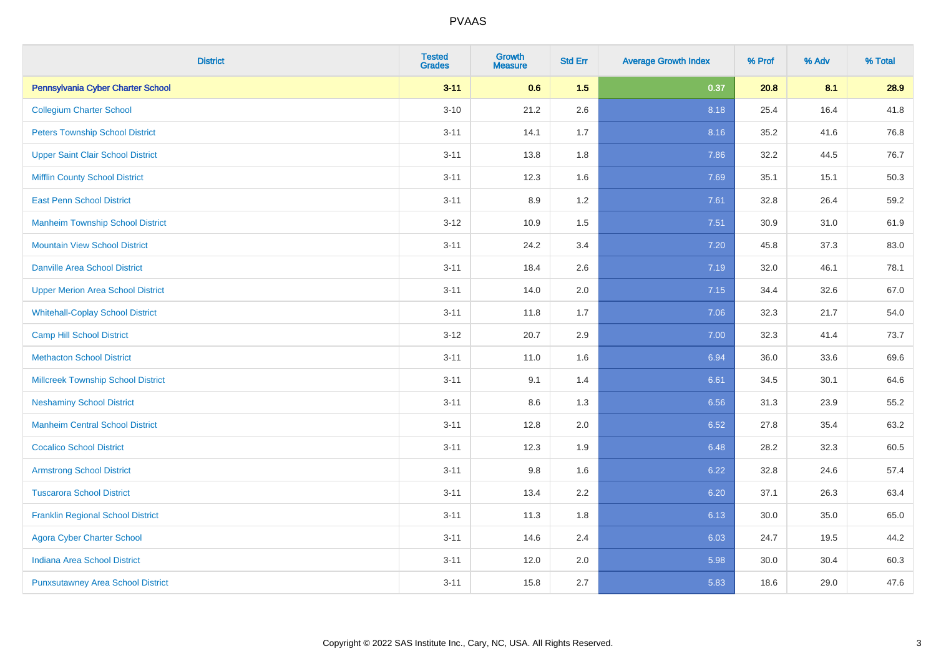| <b>District</b>                           | <b>Tested</b><br><b>Grades</b> | <b>Growth</b><br><b>Measure</b> | <b>Std Err</b> | <b>Average Growth Index</b> | % Prof | % Adv | % Total |
|-------------------------------------------|--------------------------------|---------------------------------|----------------|-----------------------------|--------|-------|---------|
| Pennsylvania Cyber Charter School         | $3 - 11$                       | 0.6                             | 1.5            | 0.37                        | 20.8   | 8.1   | 28.9    |
| <b>Collegium Charter School</b>           | $3 - 10$                       | 21.2                            | 2.6            | 8.18                        | 25.4   | 16.4  | 41.8    |
| <b>Peters Township School District</b>    | $3 - 11$                       | 14.1                            | 1.7            | 8.16                        | 35.2   | 41.6  | 76.8    |
| <b>Upper Saint Clair School District</b>  | $3 - 11$                       | 13.8                            | 1.8            | 7.86                        | 32.2   | 44.5  | 76.7    |
| <b>Mifflin County School District</b>     | $3 - 11$                       | 12.3                            | 1.6            | 7.69                        | 35.1   | 15.1  | 50.3    |
| <b>East Penn School District</b>          | $3 - 11$                       | 8.9                             | 1.2            | 7.61                        | 32.8   | 26.4  | 59.2    |
| <b>Manheim Township School District</b>   | $3 - 12$                       | 10.9                            | 1.5            | 7.51                        | 30.9   | 31.0  | 61.9    |
| <b>Mountain View School District</b>      | $3 - 11$                       | 24.2                            | 3.4            | 7.20                        | 45.8   | 37.3  | 83.0    |
| <b>Danville Area School District</b>      | $3 - 11$                       | 18.4                            | 2.6            | 7.19                        | 32.0   | 46.1  | 78.1    |
| <b>Upper Merion Area School District</b>  | $3 - 11$                       | 14.0                            | 2.0            | 7.15                        | 34.4   | 32.6  | 67.0    |
| <b>Whitehall-Coplay School District</b>   | $3 - 11$                       | 11.8                            | 1.7            | 7.06                        | 32.3   | 21.7  | 54.0    |
| <b>Camp Hill School District</b>          | $3 - 12$                       | 20.7                            | 2.9            | 7.00                        | 32.3   | 41.4  | 73.7    |
| <b>Methacton School District</b>          | $3 - 11$                       | 11.0                            | 1.6            | 6.94                        | 36.0   | 33.6  | 69.6    |
| <b>Millcreek Township School District</b> | $3 - 11$                       | 9.1                             | 1.4            | 6.61                        | 34.5   | 30.1  | 64.6    |
| <b>Neshaminy School District</b>          | $3 - 11$                       | 8.6                             | 1.3            | 6.56                        | 31.3   | 23.9  | 55.2    |
| <b>Manheim Central School District</b>    | $3 - 11$                       | 12.8                            | 2.0            | 6.52                        | 27.8   | 35.4  | 63.2    |
| <b>Cocalico School District</b>           | $3 - 11$                       | 12.3                            | 1.9            | 6.48                        | 28.2   | 32.3  | 60.5    |
| <b>Armstrong School District</b>          | $3 - 11$                       | 9.8                             | 1.6            | 6.22                        | 32.8   | 24.6  | 57.4    |
| <b>Tuscarora School District</b>          | $3 - 11$                       | 13.4                            | 2.2            | 6.20                        | 37.1   | 26.3  | 63.4    |
| <b>Franklin Regional School District</b>  | $3 - 11$                       | 11.3                            | 1.8            | 6.13                        | 30.0   | 35.0  | 65.0    |
| <b>Agora Cyber Charter School</b>         | $3 - 11$                       | 14.6                            | 2.4            | 6.03                        | 24.7   | 19.5  | 44.2    |
| <b>Indiana Area School District</b>       | $3 - 11$                       | 12.0                            | 2.0            | 5.98                        | 30.0   | 30.4  | 60.3    |
| <b>Punxsutawney Area School District</b>  | $3 - 11$                       | 15.8                            | 2.7            | 5.83                        | 18.6   | 29.0  | 47.6    |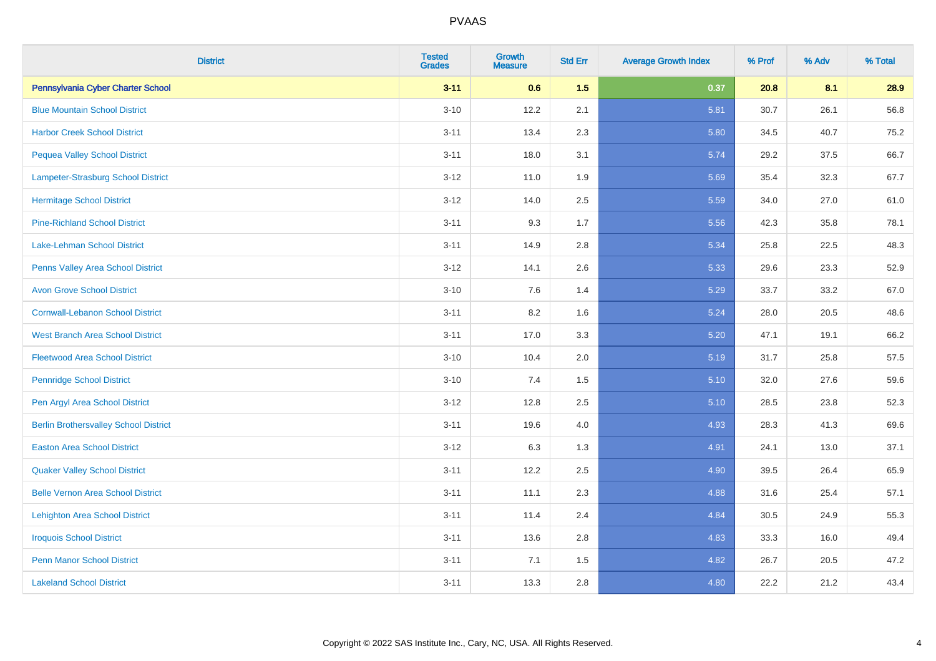| <b>District</b>                              | <b>Tested</b><br><b>Grades</b> | <b>Growth</b><br><b>Measure</b> | <b>Std Err</b> | <b>Average Growth Index</b> | % Prof | % Adv | % Total |
|----------------------------------------------|--------------------------------|---------------------------------|----------------|-----------------------------|--------|-------|---------|
| Pennsylvania Cyber Charter School            | $3 - 11$                       | 0.6                             | 1.5            | 0.37                        | 20.8   | 8.1   | 28.9    |
| <b>Blue Mountain School District</b>         | $3 - 10$                       | 12.2                            | 2.1            | 5.81                        | 30.7   | 26.1  | 56.8    |
| <b>Harbor Creek School District</b>          | $3 - 11$                       | 13.4                            | 2.3            | 5.80                        | 34.5   | 40.7  | 75.2    |
| <b>Pequea Valley School District</b>         | $3 - 11$                       | 18.0                            | 3.1            | 5.74                        | 29.2   | 37.5  | 66.7    |
| <b>Lampeter-Strasburg School District</b>    | $3 - 12$                       | 11.0                            | 1.9            | 5.69                        | 35.4   | 32.3  | 67.7    |
| <b>Hermitage School District</b>             | $3 - 12$                       | 14.0                            | 2.5            | 5.59                        | 34.0   | 27.0  | 61.0    |
| <b>Pine-Richland School District</b>         | $3 - 11$                       | 9.3                             | 1.7            | 5.56                        | 42.3   | 35.8  | 78.1    |
| <b>Lake-Lehman School District</b>           | $3 - 11$                       | 14.9                            | 2.8            | 5.34                        | 25.8   | 22.5  | 48.3    |
| <b>Penns Valley Area School District</b>     | $3 - 12$                       | 14.1                            | 2.6            | 5.33                        | 29.6   | 23.3  | 52.9    |
| <b>Avon Grove School District</b>            | $3 - 10$                       | 7.6                             | 1.4            | 5.29                        | 33.7   | 33.2  | 67.0    |
| <b>Cornwall-Lebanon School District</b>      | $3 - 11$                       | 8.2                             | 1.6            | 5.24                        | 28.0   | 20.5  | 48.6    |
| <b>West Branch Area School District</b>      | $3 - 11$                       | 17.0                            | 3.3            | 5.20                        | 47.1   | 19.1  | 66.2    |
| <b>Fleetwood Area School District</b>        | $3 - 10$                       | 10.4                            | 2.0            | 5.19                        | 31.7   | 25.8  | 57.5    |
| <b>Pennridge School District</b>             | $3 - 10$                       | 7.4                             | 1.5            | 5.10                        | 32.0   | 27.6  | 59.6    |
| Pen Argyl Area School District               | $3 - 12$                       | 12.8                            | 2.5            | 5.10                        | 28.5   | 23.8  | 52.3    |
| <b>Berlin Brothersvalley School District</b> | $3 - 11$                       | 19.6                            | 4.0            | 4.93                        | 28.3   | 41.3  | 69.6    |
| <b>Easton Area School District</b>           | $3 - 12$                       | 6.3                             | 1.3            | 4.91                        | 24.1   | 13.0  | 37.1    |
| <b>Quaker Valley School District</b>         | $3 - 11$                       | 12.2                            | 2.5            | 4.90                        | 39.5   | 26.4  | 65.9    |
| <b>Belle Vernon Area School District</b>     | $3 - 11$                       | 11.1                            | 2.3            | 4.88                        | 31.6   | 25.4  | 57.1    |
| <b>Lehighton Area School District</b>        | $3 - 11$                       | 11.4                            | 2.4            | 4.84                        | 30.5   | 24.9  | 55.3    |
| <b>Iroquois School District</b>              | $3 - 11$                       | 13.6                            | 2.8            | 4.83                        | 33.3   | 16.0  | 49.4    |
| <b>Penn Manor School District</b>            | $3 - 11$                       | 7.1                             | 1.5            | 4.82                        | 26.7   | 20.5  | 47.2    |
| <b>Lakeland School District</b>              | $3 - 11$                       | 13.3                            | 2.8            | 4.80                        | 22.2   | 21.2  | 43.4    |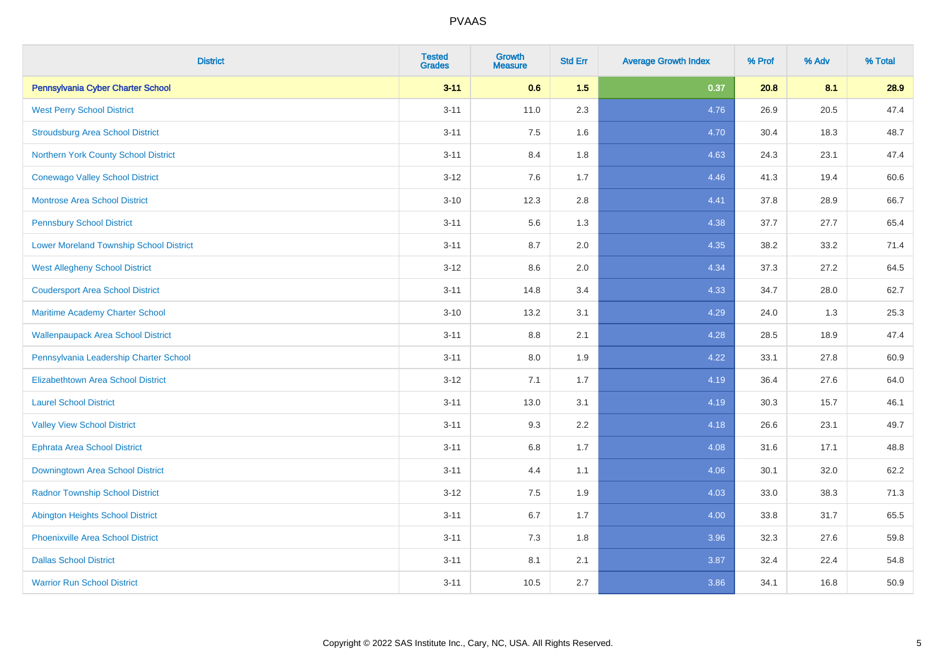| <b>District</b>                                | <b>Tested</b><br><b>Grades</b> | <b>Growth</b><br><b>Measure</b> | <b>Std Err</b> | <b>Average Growth Index</b> | % Prof | % Adv | % Total |
|------------------------------------------------|--------------------------------|---------------------------------|----------------|-----------------------------|--------|-------|---------|
| Pennsylvania Cyber Charter School              | $3 - 11$                       | 0.6                             | 1.5            | 0.37                        | 20.8   | 8.1   | 28.9    |
| <b>West Perry School District</b>              | $3 - 11$                       | 11.0                            | 2.3            | 4.76                        | 26.9   | 20.5  | 47.4    |
| <b>Stroudsburg Area School District</b>        | $3 - 11$                       | 7.5                             | 1.6            | 4.70                        | 30.4   | 18.3  | 48.7    |
| Northern York County School District           | $3 - 11$                       | 8.4                             | 1.8            | 4.63                        | 24.3   | 23.1  | 47.4    |
| <b>Conewago Valley School District</b>         | $3 - 12$                       | 7.6                             | 1.7            | 4.46                        | 41.3   | 19.4  | 60.6    |
| <b>Montrose Area School District</b>           | $3 - 10$                       | 12.3                            | 2.8            | 4.41                        | 37.8   | 28.9  | 66.7    |
| <b>Pennsbury School District</b>               | $3 - 11$                       | 5.6                             | 1.3            | 4.38                        | 37.7   | 27.7  | 65.4    |
| <b>Lower Moreland Township School District</b> | $3 - 11$                       | 8.7                             | 2.0            | 4.35                        | 38.2   | 33.2  | 71.4    |
| <b>West Allegheny School District</b>          | $3 - 12$                       | 8.6                             | 2.0            | 4.34                        | 37.3   | 27.2  | 64.5    |
| <b>Coudersport Area School District</b>        | $3 - 11$                       | 14.8                            | 3.4            | 4.33                        | 34.7   | 28.0  | 62.7    |
| Maritime Academy Charter School                | $3 - 10$                       | 13.2                            | 3.1            | 4.29                        | 24.0   | 1.3   | 25.3    |
| <b>Wallenpaupack Area School District</b>      | $3 - 11$                       | 8.8                             | 2.1            | 4.28                        | 28.5   | 18.9  | 47.4    |
| Pennsylvania Leadership Charter School         | $3 - 11$                       | 8.0                             | 1.9            | 4.22                        | 33.1   | 27.8  | 60.9    |
| <b>Elizabethtown Area School District</b>      | $3 - 12$                       | 7.1                             | 1.7            | 4.19                        | 36.4   | 27.6  | 64.0    |
| <b>Laurel School District</b>                  | $3 - 11$                       | 13.0                            | 3.1            | 4.19                        | 30.3   | 15.7  | 46.1    |
| <b>Valley View School District</b>             | $3 - 11$                       | 9.3                             | 2.2            | 4.18                        | 26.6   | 23.1  | 49.7    |
| <b>Ephrata Area School District</b>            | $3 - 11$                       | $6.8\,$                         | 1.7            | 4.08                        | 31.6   | 17.1  | 48.8    |
| Downingtown Area School District               | $3 - 11$                       | 4.4                             | 1.1            | 4.06                        | 30.1   | 32.0  | 62.2    |
| <b>Radnor Township School District</b>         | $3 - 12$                       | 7.5                             | 1.9            | 4.03                        | 33.0   | 38.3  | 71.3    |
| <b>Abington Heights School District</b>        | $3 - 11$                       | $6.7\,$                         | 1.7            | 4.00                        | 33.8   | 31.7  | 65.5    |
| Phoenixville Area School District              | $3 - 11$                       | 7.3                             | 1.8            | 3.96                        | 32.3   | 27.6  | 59.8    |
| <b>Dallas School District</b>                  | $3 - 11$                       | 8.1                             | 2.1            | 3.87                        | 32.4   | 22.4  | 54.8    |
| <b>Warrior Run School District</b>             | $3 - 11$                       | 10.5                            | 2.7            | 3.86                        | 34.1   | 16.8  | 50.9    |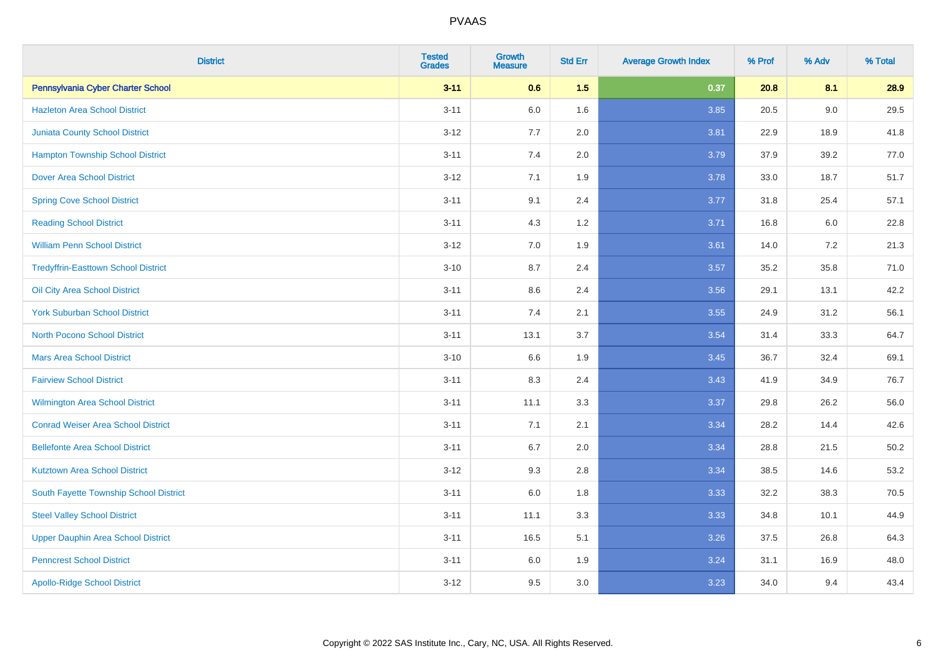| <b>District</b>                            | <b>Tested</b><br><b>Grades</b> | <b>Growth</b><br><b>Measure</b> | <b>Std Err</b> | <b>Average Growth Index</b> | % Prof | % Adv | % Total |
|--------------------------------------------|--------------------------------|---------------------------------|----------------|-----------------------------|--------|-------|---------|
| Pennsylvania Cyber Charter School          | $3 - 11$                       | 0.6                             | 1.5            | 0.37                        | 20.8   | 8.1   | 28.9    |
| <b>Hazleton Area School District</b>       | $3 - 11$                       | 6.0                             | 1.6            | 3.85                        | 20.5   | 9.0   | 29.5    |
| <b>Juniata County School District</b>      | $3 - 12$                       | 7.7                             | 2.0            | 3.81                        | 22.9   | 18.9  | 41.8    |
| <b>Hampton Township School District</b>    | $3 - 11$                       | 7.4                             | 2.0            | 3.79                        | 37.9   | 39.2  | 77.0    |
| <b>Dover Area School District</b>          | $3 - 12$                       | 7.1                             | 1.9            | 3.78                        | 33.0   | 18.7  | 51.7    |
| <b>Spring Cove School District</b>         | $3 - 11$                       | 9.1                             | 2.4            | 3.77                        | 31.8   | 25.4  | 57.1    |
| <b>Reading School District</b>             | $3 - 11$                       | 4.3                             | 1.2            | 3.71                        | 16.8   | 6.0   | 22.8    |
| <b>William Penn School District</b>        | $3 - 12$                       | 7.0                             | 1.9            | 3.61                        | 14.0   | 7.2   | 21.3    |
| <b>Tredyffrin-Easttown School District</b> | $3 - 10$                       | 8.7                             | 2.4            | 3.57                        | 35.2   | 35.8  | 71.0    |
| Oil City Area School District              | $3 - 11$                       | 8.6                             | 2.4            | 3.56                        | 29.1   | 13.1  | 42.2    |
| <b>York Suburban School District</b>       | $3 - 11$                       | 7.4                             | 2.1            | 3.55                        | 24.9   | 31.2  | 56.1    |
| North Pocono School District               | $3 - 11$                       | 13.1                            | 3.7            | 3.54                        | 31.4   | 33.3  | 64.7    |
| <b>Mars Area School District</b>           | $3 - 10$                       | 6.6                             | 1.9            | 3.45                        | 36.7   | 32.4  | 69.1    |
| <b>Fairview School District</b>            | $3 - 11$                       | 8.3                             | 2.4            | 3.43                        | 41.9   | 34.9  | 76.7    |
| <b>Wilmington Area School District</b>     | $3 - 11$                       | 11.1                            | 3.3            | 3.37                        | 29.8   | 26.2  | 56.0    |
| <b>Conrad Weiser Area School District</b>  | $3 - 11$                       | 7.1                             | 2.1            | 3.34                        | 28.2   | 14.4  | 42.6    |
| <b>Bellefonte Area School District</b>     | $3 - 11$                       | 6.7                             | 2.0            | 3.34                        | 28.8   | 21.5  | 50.2    |
| <b>Kutztown Area School District</b>       | $3 - 12$                       | 9.3                             | 2.8            | 3.34                        | 38.5   | 14.6  | 53.2    |
| South Fayette Township School District     | $3 - 11$                       | 6.0                             | 1.8            | 3.33                        | 32.2   | 38.3  | 70.5    |
| <b>Steel Valley School District</b>        | $3 - 11$                       | 11.1                            | 3.3            | 3.33                        | 34.8   | 10.1  | 44.9    |
| <b>Upper Dauphin Area School District</b>  | $3 - 11$                       | 16.5                            | 5.1            | 3.26                        | 37.5   | 26.8  | 64.3    |
| <b>Penncrest School District</b>           | $3 - 11$                       | 6.0                             | 1.9            | 3.24                        | 31.1   | 16.9  | 48.0    |
| <b>Apollo-Ridge School District</b>        | $3 - 12$                       | 9.5                             | 3.0            | 3.23                        | 34.0   | 9.4   | 43.4    |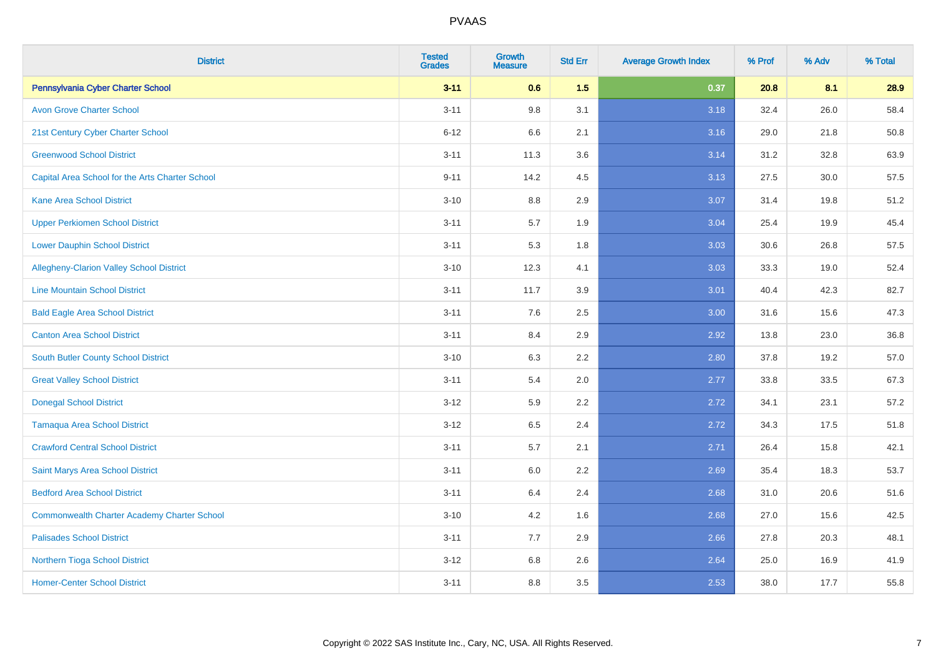| <b>District</b>                                    | <b>Tested</b><br><b>Grades</b> | <b>Growth</b><br><b>Measure</b> | <b>Std Err</b> | <b>Average Growth Index</b> | % Prof | % Adv | % Total |
|----------------------------------------------------|--------------------------------|---------------------------------|----------------|-----------------------------|--------|-------|---------|
| Pennsylvania Cyber Charter School                  | $3 - 11$                       | 0.6                             | 1.5            | 0.37                        | 20.8   | 8.1   | 28.9    |
| <b>Avon Grove Charter School</b>                   | $3 - 11$                       | 9.8                             | 3.1            | 3.18                        | 32.4   | 26.0  | 58.4    |
| 21st Century Cyber Charter School                  | $6 - 12$                       | 6.6                             | 2.1            | 3.16                        | 29.0   | 21.8  | 50.8    |
| <b>Greenwood School District</b>                   | $3 - 11$                       | 11.3                            | 3.6            | 3.14                        | 31.2   | 32.8  | 63.9    |
| Capital Area School for the Arts Charter School    | $9 - 11$                       | 14.2                            | 4.5            | 3.13                        | 27.5   | 30.0  | 57.5    |
| <b>Kane Area School District</b>                   | $3 - 10$                       | 8.8                             | 2.9            | 3.07                        | 31.4   | 19.8  | 51.2    |
| <b>Upper Perkiomen School District</b>             | $3 - 11$                       | 5.7                             | 1.9            | 3.04                        | 25.4   | 19.9  | 45.4    |
| <b>Lower Dauphin School District</b>               | $3 - 11$                       | 5.3                             | 1.8            | 3.03                        | 30.6   | 26.8  | 57.5    |
| <b>Allegheny-Clarion Valley School District</b>    | $3 - 10$                       | 12.3                            | 4.1            | 3.03                        | 33.3   | 19.0  | 52.4    |
| <b>Line Mountain School District</b>               | $3 - 11$                       | 11.7                            | 3.9            | 3.01                        | 40.4   | 42.3  | 82.7    |
| <b>Bald Eagle Area School District</b>             | $3 - 11$                       | 7.6                             | 2.5            | 3.00                        | 31.6   | 15.6  | 47.3    |
| <b>Canton Area School District</b>                 | $3 - 11$                       | 8.4                             | 2.9            | 2.92                        | 13.8   | 23.0  | 36.8    |
| <b>South Butler County School District</b>         | $3 - 10$                       | 6.3                             | 2.2            | 2.80                        | 37.8   | 19.2  | 57.0    |
| <b>Great Valley School District</b>                | $3 - 11$                       | 5.4                             | 2.0            | 2.77                        | 33.8   | 33.5  | 67.3    |
| <b>Donegal School District</b>                     | $3 - 12$                       | 5.9                             | 2.2            | 2.72                        | 34.1   | 23.1  | 57.2    |
| <b>Tamaqua Area School District</b>                | $3 - 12$                       | 6.5                             | 2.4            | 2.72                        | 34.3   | 17.5  | 51.8    |
| <b>Crawford Central School District</b>            | $3 - 11$                       | 5.7                             | 2.1            | 2.71                        | 26.4   | 15.8  | 42.1    |
| Saint Marys Area School District                   | $3 - 11$                       | 6.0                             | 2.2            | 2.69                        | 35.4   | 18.3  | 53.7    |
| <b>Bedford Area School District</b>                | $3 - 11$                       | 6.4                             | 2.4            | 2.68                        | 31.0   | 20.6  | 51.6    |
| <b>Commonwealth Charter Academy Charter School</b> | $3 - 10$                       | 4.2                             | 1.6            | 2.68                        | 27.0   | 15.6  | 42.5    |
| <b>Palisades School District</b>                   | $3 - 11$                       | 7.7                             | 2.9            | 2.66                        | 27.8   | 20.3  | 48.1    |
| <b>Northern Tioga School District</b>              | $3 - 12$                       | 6.8                             | 2.6            | 2.64                        | 25.0   | 16.9  | 41.9    |
| <b>Homer-Center School District</b>                | $3 - 11$                       | 8.8                             | 3.5            | 2.53                        | 38.0   | 17.7  | 55.8    |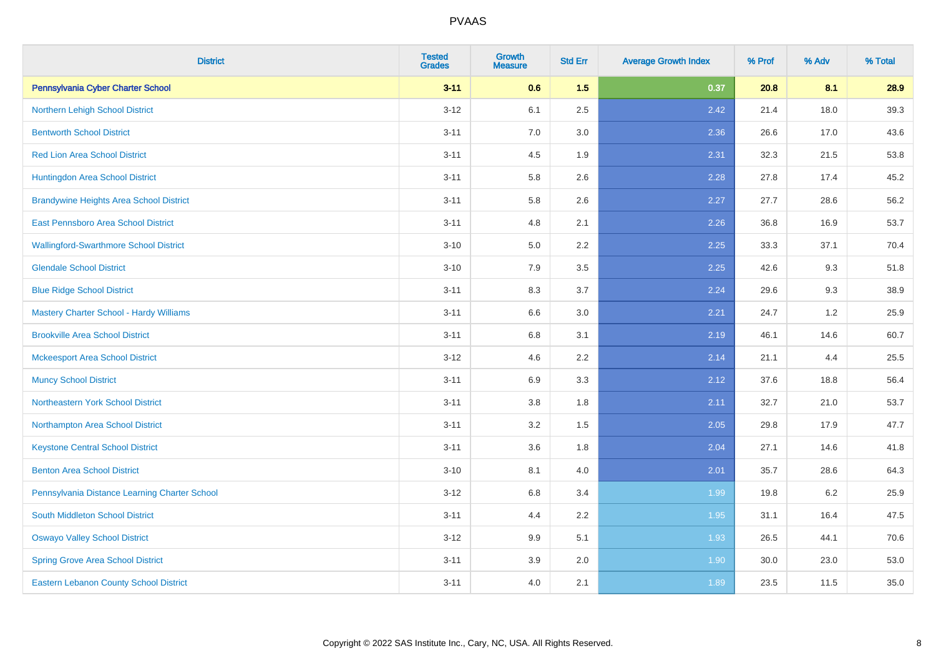| <b>District</b>                                | <b>Tested</b><br><b>Grades</b> | <b>Growth</b><br><b>Measure</b> | <b>Std Err</b> | <b>Average Growth Index</b> | % Prof | % Adv | % Total |
|------------------------------------------------|--------------------------------|---------------------------------|----------------|-----------------------------|--------|-------|---------|
| Pennsylvania Cyber Charter School              | $3 - 11$                       | 0.6                             | 1.5            | 0.37                        | 20.8   | 8.1   | 28.9    |
| Northern Lehigh School District                | $3 - 12$                       | 6.1                             | 2.5            | 2.42                        | 21.4   | 18.0  | 39.3    |
| <b>Bentworth School District</b>               | $3 - 11$                       | 7.0                             | 3.0            | 2.36                        | 26.6   | 17.0  | 43.6    |
| <b>Red Lion Area School District</b>           | $3 - 11$                       | 4.5                             | 1.9            | 2.31                        | 32.3   | 21.5  | 53.8    |
| Huntingdon Area School District                | $3 - 11$                       | 5.8                             | 2.6            | 2.28                        | 27.8   | 17.4  | 45.2    |
| <b>Brandywine Heights Area School District</b> | $3 - 11$                       | 5.8                             | 2.6            | 2.27                        | 27.7   | 28.6  | 56.2    |
| East Pennsboro Area School District            | $3 - 11$                       | 4.8                             | 2.1            | 2.26                        | 36.8   | 16.9  | 53.7    |
| <b>Wallingford-Swarthmore School District</b>  | $3 - 10$                       | 5.0                             | 2.2            | 2.25                        | 33.3   | 37.1  | 70.4    |
| <b>Glendale School District</b>                | $3 - 10$                       | 7.9                             | 3.5            | 2.25                        | 42.6   | 9.3   | 51.8    |
| <b>Blue Ridge School District</b>              | $3 - 11$                       | 8.3                             | 3.7            | 2.24                        | 29.6   | 9.3   | 38.9    |
| Mastery Charter School - Hardy Williams        | $3 - 11$                       | 6.6                             | 3.0            | 2.21                        | 24.7   | 1.2   | 25.9    |
| <b>Brookville Area School District</b>         | $3 - 11$                       | 6.8                             | 3.1            | 2.19                        | 46.1   | 14.6  | 60.7    |
| <b>Mckeesport Area School District</b>         | $3 - 12$                       | 4.6                             | 2.2            | 2.14                        | 21.1   | 4.4   | 25.5    |
| <b>Muncy School District</b>                   | $3 - 11$                       | 6.9                             | 3.3            | 2.12                        | 37.6   | 18.8  | 56.4    |
| <b>Northeastern York School District</b>       | $3 - 11$                       | 3.8                             | 1.8            | 2.11                        | 32.7   | 21.0  | 53.7    |
| Northampton Area School District               | $3 - 11$                       | 3.2                             | 1.5            | 2.05                        | 29.8   | 17.9  | 47.7    |
| <b>Keystone Central School District</b>        | $3 - 11$                       | 3.6                             | 1.8            | 2.04                        | 27.1   | 14.6  | 41.8    |
| <b>Benton Area School District</b>             | $3 - 10$                       | 8.1                             | 4.0            | 2.01                        | 35.7   | 28.6  | 64.3    |
| Pennsylvania Distance Learning Charter School  | $3 - 12$                       | 6.8                             | 3.4            | 1.99                        | 19.8   | 6.2   | 25.9    |
| <b>South Middleton School District</b>         | $3 - 11$                       | 4.4                             | 2.2            | 1.95                        | 31.1   | 16.4  | 47.5    |
| <b>Oswayo Valley School District</b>           | $3-12$                         | 9.9                             | 5.1            | 1.93                        | 26.5   | 44.1  | 70.6    |
| <b>Spring Grove Area School District</b>       | $3 - 11$                       | 3.9                             | 2.0            | 1.90                        | 30.0   | 23.0  | 53.0    |
| <b>Eastern Lebanon County School District</b>  | $3 - 11$                       | 4.0                             | 2.1            | 1.89                        | 23.5   | 11.5  | 35.0    |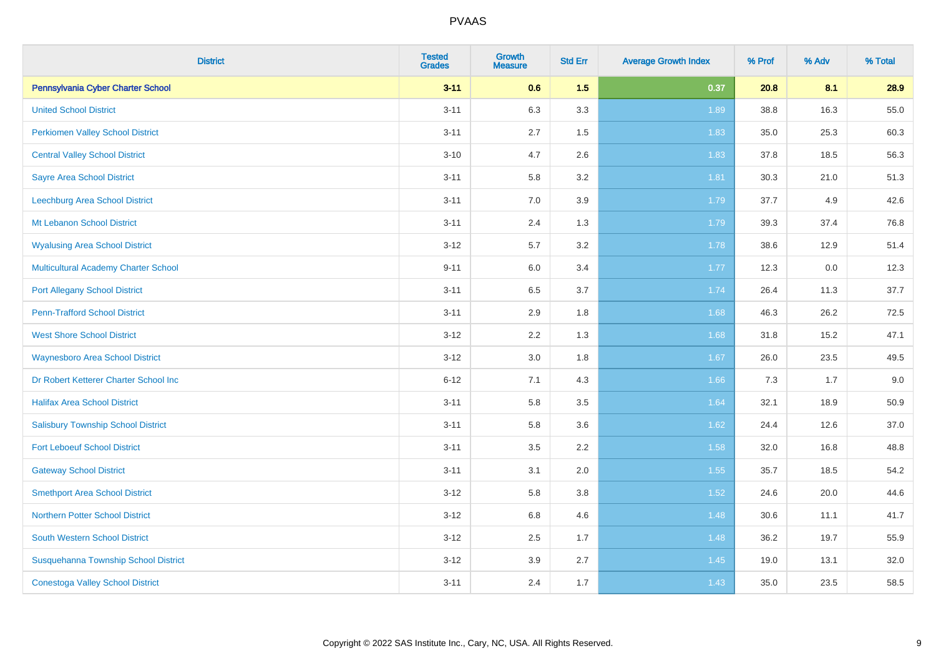| <b>District</b>                             | <b>Tested</b><br><b>Grades</b> | <b>Growth</b><br><b>Measure</b> | <b>Std Err</b> | <b>Average Growth Index</b> | % Prof | % Adv | % Total |
|---------------------------------------------|--------------------------------|---------------------------------|----------------|-----------------------------|--------|-------|---------|
| Pennsylvania Cyber Charter School           | $3 - 11$                       | 0.6                             | 1.5            | 0.37                        | 20.8   | 8.1   | 28.9    |
| <b>United School District</b>               | $3 - 11$                       | 6.3                             | 3.3            | 1.89                        | 38.8   | 16.3  | 55.0    |
| <b>Perkiomen Valley School District</b>     | $3 - 11$                       | 2.7                             | 1.5            | 1.83                        | 35.0   | 25.3  | 60.3    |
| <b>Central Valley School District</b>       | $3 - 10$                       | 4.7                             | 2.6            | 1.83                        | 37.8   | 18.5  | 56.3    |
| <b>Sayre Area School District</b>           | $3 - 11$                       | 5.8                             | 3.2            | 1.81                        | 30.3   | 21.0  | 51.3    |
| Leechburg Area School District              | $3 - 11$                       | 7.0                             | 3.9            | 1.79                        | 37.7   | 4.9   | 42.6    |
| Mt Lebanon School District                  | $3 - 11$                       | 2.4                             | 1.3            | 1.79                        | 39.3   | 37.4  | 76.8    |
| <b>Wyalusing Area School District</b>       | $3 - 12$                       | 5.7                             | 3.2            | 1.78                        | 38.6   | 12.9  | 51.4    |
| <b>Multicultural Academy Charter School</b> | $9 - 11$                       | 6.0                             | 3.4            | 1.77                        | 12.3   | 0.0   | 12.3    |
| <b>Port Allegany School District</b>        | $3 - 11$                       | 6.5                             | 3.7            | 1.74                        | 26.4   | 11.3  | 37.7    |
| <b>Penn-Trafford School District</b>        | $3 - 11$                       | 2.9                             | 1.8            | 1.68                        | 46.3   | 26.2  | 72.5    |
| <b>West Shore School District</b>           | $3 - 12$                       | 2.2                             | 1.3            | 1.68                        | 31.8   | 15.2  | 47.1    |
| <b>Waynesboro Area School District</b>      | $3 - 12$                       | $3.0\,$                         | 1.8            | 1.67                        | 26.0   | 23.5  | 49.5    |
| Dr Robert Ketterer Charter School Inc       | $6 - 12$                       | 7.1                             | 4.3            | 1.66                        | 7.3    | 1.7   | 9.0     |
| <b>Halifax Area School District</b>         | $3 - 11$                       | 5.8                             | 3.5            | 1.64                        | 32.1   | 18.9  | 50.9    |
| <b>Salisbury Township School District</b>   | $3 - 11$                       | 5.8                             | 3.6            | 1.62                        | 24.4   | 12.6  | 37.0    |
| <b>Fort Leboeuf School District</b>         | $3 - 11$                       | 3.5                             | 2.2            | 1.58                        | 32.0   | 16.8  | 48.8    |
| <b>Gateway School District</b>              | $3 - 11$                       | 3.1                             | 2.0            | 1.55                        | 35.7   | 18.5  | 54.2    |
| <b>Smethport Area School District</b>       | $3 - 12$                       | 5.8                             | 3.8            | 1.52                        | 24.6   | 20.0  | 44.6    |
| <b>Northern Potter School District</b>      | $3 - 12$                       | $6.8\,$                         | 4.6            | 1.48                        | 30.6   | 11.1  | 41.7    |
| South Western School District               | $3 - 12$                       | 2.5                             | 1.7            | 1.48                        | 36.2   | 19.7  | 55.9    |
| Susquehanna Township School District        | $3 - 12$                       | 3.9                             | 2.7            | 1.45                        | 19.0   | 13.1  | 32.0    |
| <b>Conestoga Valley School District</b>     | $3 - 11$                       | 2.4                             | 1.7            | 1.43                        | 35.0   | 23.5  | 58.5    |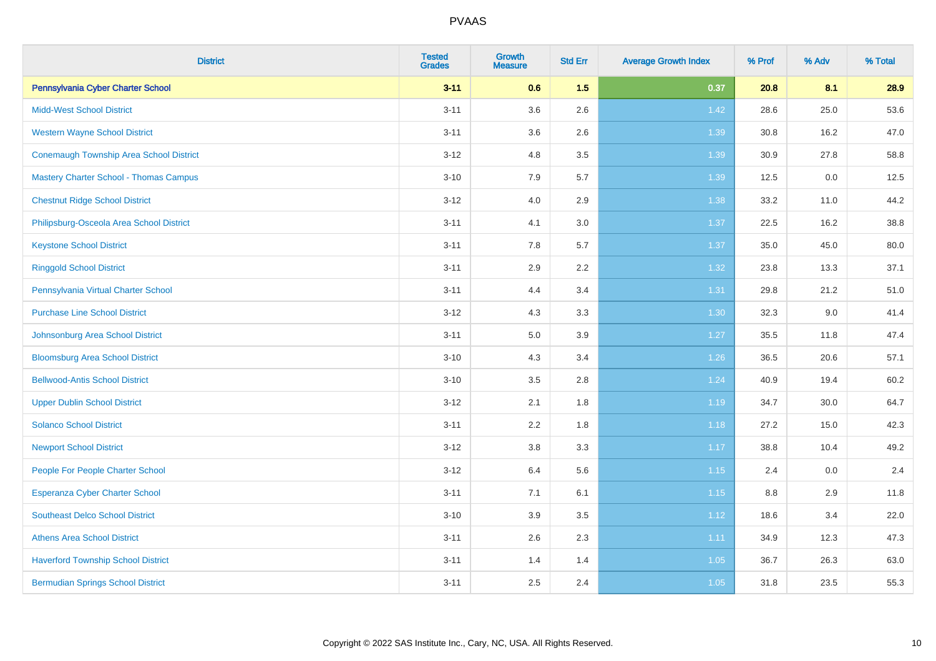| <b>District</b>                               | <b>Tested</b><br><b>Grades</b> | <b>Growth</b><br><b>Measure</b> | <b>Std Err</b> | <b>Average Growth Index</b> | % Prof | % Adv | % Total |
|-----------------------------------------------|--------------------------------|---------------------------------|----------------|-----------------------------|--------|-------|---------|
| Pennsylvania Cyber Charter School             | $3 - 11$                       | 0.6                             | 1.5            | 0.37                        | 20.8   | 8.1   | 28.9    |
| <b>Midd-West School District</b>              | $3 - 11$                       | 3.6                             | 2.6            | 1.42                        | 28.6   | 25.0  | 53.6    |
| <b>Western Wayne School District</b>          | $3 - 11$                       | 3.6                             | 2.6            | 1.39                        | 30.8   | 16.2  | 47.0    |
| Conemaugh Township Area School District       | $3-12$                         | 4.8                             | 3.5            | 1.39                        | 30.9   | 27.8  | 58.8    |
| <b>Mastery Charter School - Thomas Campus</b> | $3 - 10$                       | 7.9                             | 5.7            | 1.39                        | 12.5   | 0.0   | 12.5    |
| <b>Chestnut Ridge School District</b>         | $3 - 12$                       | 4.0                             | 2.9            | 1.38                        | 33.2   | 11.0  | 44.2    |
| Philipsburg-Osceola Area School District      | $3 - 11$                       | 4.1                             | 3.0            | 1.37                        | 22.5   | 16.2  | 38.8    |
| <b>Keystone School District</b>               | $3 - 11$                       | 7.8                             | 5.7            | 1.37                        | 35.0   | 45.0  | 80.0    |
| <b>Ringgold School District</b>               | $3 - 11$                       | 2.9                             | 2.2            | 1.32                        | 23.8   | 13.3  | 37.1    |
| Pennsylvania Virtual Charter School           | $3 - 11$                       | 4.4                             | 3.4            | 1.31                        | 29.8   | 21.2  | 51.0    |
| <b>Purchase Line School District</b>          | $3 - 12$                       | 4.3                             | 3.3            | 1.30                        | 32.3   | 9.0   | 41.4    |
| Johnsonburg Area School District              | $3 - 11$                       | 5.0                             | 3.9            | 1.27                        | 35.5   | 11.8  | 47.4    |
| <b>Bloomsburg Area School District</b>        | $3 - 10$                       | 4.3                             | 3.4            | 1.26                        | 36.5   | 20.6  | 57.1    |
| <b>Bellwood-Antis School District</b>         | $3 - 10$                       | $3.5\,$                         | 2.8            | 1.24                        | 40.9   | 19.4  | 60.2    |
| <b>Upper Dublin School District</b>           | $3 - 12$                       | 2.1                             | 1.8            | 1.19                        | 34.7   | 30.0  | 64.7    |
| <b>Solanco School District</b>                | $3 - 11$                       | 2.2                             | 1.8            | 1.18                        | 27.2   | 15.0  | 42.3    |
| <b>Newport School District</b>                | $3 - 12$                       | 3.8                             | 3.3            | 1.17                        | 38.8   | 10.4  | 49.2    |
| People For People Charter School              | $3 - 12$                       | 6.4                             | 5.6            | 1.15                        | 2.4    | 0.0   | 2.4     |
| <b>Esperanza Cyber Charter School</b>         | $3 - 11$                       | 7.1                             | 6.1            | 1.15                        | 8.8    | 2.9   | 11.8    |
| <b>Southeast Delco School District</b>        | $3 - 10$                       | 3.9                             | 3.5            | 1.12                        | 18.6   | 3.4   | 22.0    |
| <b>Athens Area School District</b>            | $3 - 11$                       | $2.6\,$                         | 2.3            | 1.11                        | 34.9   | 12.3  | 47.3    |
| <b>Haverford Township School District</b>     | $3 - 11$                       | 1.4                             | 1.4            | 1.05                        | 36.7   | 26.3  | 63.0    |
| <b>Bermudian Springs School District</b>      | $3 - 11$                       | 2.5                             | 2.4            | 1.05                        | 31.8   | 23.5  | 55.3    |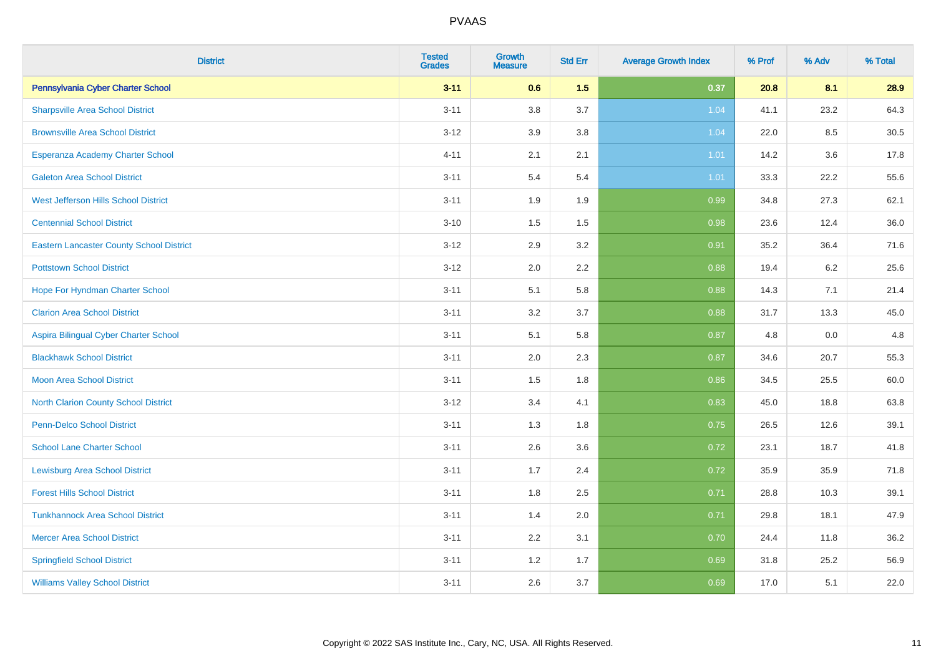| <b>District</b>                                 | <b>Tested</b><br><b>Grades</b> | <b>Growth</b><br><b>Measure</b> | <b>Std Err</b> | <b>Average Growth Index</b> | % Prof | % Adv | % Total |
|-------------------------------------------------|--------------------------------|---------------------------------|----------------|-----------------------------|--------|-------|---------|
| Pennsylvania Cyber Charter School               | $3 - 11$                       | 0.6                             | 1.5            | 0.37                        | 20.8   | 8.1   | 28.9    |
| <b>Sharpsville Area School District</b>         | $3 - 11$                       | 3.8                             | 3.7            | 1.04                        | 41.1   | 23.2  | 64.3    |
| <b>Brownsville Area School District</b>         | $3 - 12$                       | 3.9                             | 3.8            | 1.04                        | 22.0   | 8.5   | 30.5    |
| Esperanza Academy Charter School                | $4 - 11$                       | 2.1                             | 2.1            | 1.01                        | 14.2   | 3.6   | 17.8    |
| <b>Galeton Area School District</b>             | $3 - 11$                       | 5.4                             | 5.4            | 1.01                        | 33.3   | 22.2  | 55.6    |
| West Jefferson Hills School District            | $3 - 11$                       | 1.9                             | 1.9            | 0.99                        | 34.8   | 27.3  | 62.1    |
| <b>Centennial School District</b>               | $3 - 10$                       | 1.5                             | 1.5            | 0.98                        | 23.6   | 12.4  | 36.0    |
| <b>Eastern Lancaster County School District</b> | $3 - 12$                       | 2.9                             | 3.2            | 0.91                        | 35.2   | 36.4  | 71.6    |
| <b>Pottstown School District</b>                | $3 - 12$                       | 2.0                             | 2.2            | 0.88                        | 19.4   | 6.2   | 25.6    |
| Hope For Hyndman Charter School                 | $3 - 11$                       | 5.1                             | 5.8            | 0.88                        | 14.3   | 7.1   | 21.4    |
| <b>Clarion Area School District</b>             | $3 - 11$                       | 3.2                             | 3.7            | 0.88                        | 31.7   | 13.3  | 45.0    |
| Aspira Bilingual Cyber Charter School           | $3 - 11$                       | 5.1                             | 5.8            | 0.87                        | 4.8    | 0.0   | 4.8     |
| <b>Blackhawk School District</b>                | $3 - 11$                       | 2.0                             | 2.3            | 0.87                        | 34.6   | 20.7  | 55.3    |
| <b>Moon Area School District</b>                | $3 - 11$                       | 1.5                             | 1.8            | 0.86                        | 34.5   | 25.5  | 60.0    |
| <b>North Clarion County School District</b>     | $3 - 12$                       | 3.4                             | 4.1            | 0.83                        | 45.0   | 18.8  | 63.8    |
| Penn-Delco School District                      | $3 - 11$                       | 1.3                             | 1.8            | 0.75                        | 26.5   | 12.6  | 39.1    |
| <b>School Lane Charter School</b>               | $3 - 11$                       | 2.6                             | 3.6            | 0.72                        | 23.1   | 18.7  | 41.8    |
| <b>Lewisburg Area School District</b>           | $3 - 11$                       | 1.7                             | 2.4            | 0.72                        | 35.9   | 35.9  | 71.8    |
| <b>Forest Hills School District</b>             | $3 - 11$                       | 1.8                             | 2.5            | 0.71                        | 28.8   | 10.3  | 39.1    |
| <b>Tunkhannock Area School District</b>         | $3 - 11$                       | 1.4                             | 2.0            | 0.71                        | 29.8   | 18.1  | 47.9    |
| <b>Mercer Area School District</b>              | $3 - 11$                       | 2.2                             | 3.1            | 0.70                        | 24.4   | 11.8  | 36.2    |
| <b>Springfield School District</b>              | $3 - 11$                       | 1.2                             | 1.7            | 0.69                        | 31.8   | 25.2  | 56.9    |
| <b>Williams Valley School District</b>          | $3 - 11$                       | 2.6                             | 3.7            | 0.69                        | 17.0   | 5.1   | 22.0    |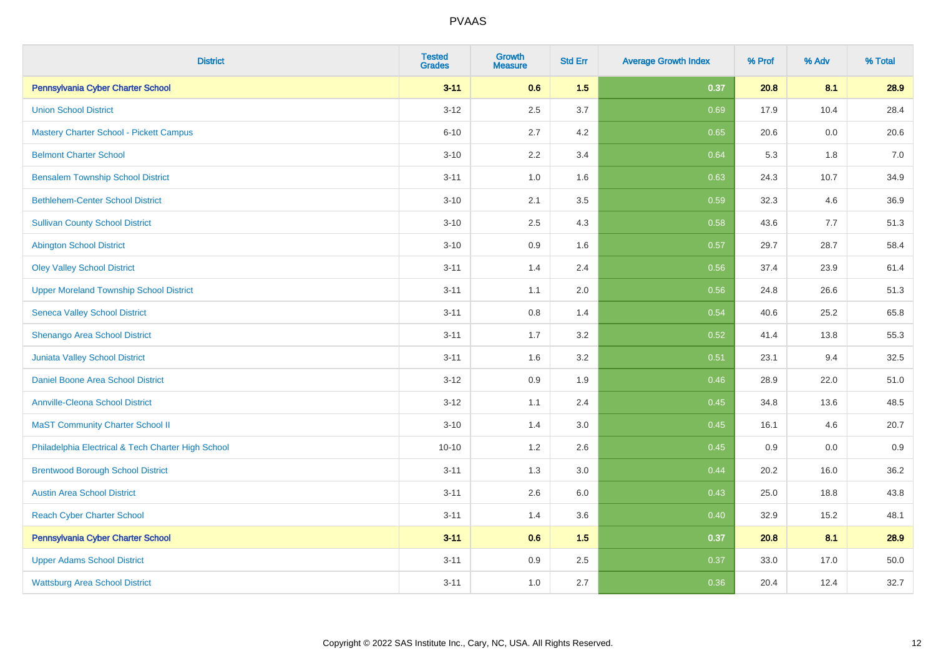| <b>District</b>                                    | <b>Tested</b><br><b>Grades</b> | <b>Growth</b><br><b>Measure</b> | <b>Std Err</b> | <b>Average Growth Index</b> | % Prof | % Adv | % Total |
|----------------------------------------------------|--------------------------------|---------------------------------|----------------|-----------------------------|--------|-------|---------|
| Pennsylvania Cyber Charter School                  | $3 - 11$                       | 0.6                             | 1.5            | 0.37                        | 20.8   | 8.1   | 28.9    |
| <b>Union School District</b>                       | $3 - 12$                       | 2.5                             | 3.7            | 0.69                        | 17.9   | 10.4  | 28.4    |
| <b>Mastery Charter School - Pickett Campus</b>     | $6 - 10$                       | 2.7                             | 4.2            | 0.65                        | 20.6   | 0.0   | 20.6    |
| <b>Belmont Charter School</b>                      | $3 - 10$                       | 2.2                             | 3.4            | 0.64                        | 5.3    | 1.8   | $7.0\,$ |
| <b>Bensalem Township School District</b>           | $3 - 11$                       | 1.0                             | 1.6            | 0.63                        | 24.3   | 10.7  | 34.9    |
| <b>Bethlehem-Center School District</b>            | $3 - 10$                       | 2.1                             | 3.5            | 0.59                        | 32.3   | 4.6   | 36.9    |
| <b>Sullivan County School District</b>             | $3 - 10$                       | 2.5                             | 4.3            | 0.58                        | 43.6   | 7.7   | 51.3    |
| <b>Abington School District</b>                    | $3 - 10$                       | 0.9                             | 1.6            | 0.57                        | 29.7   | 28.7  | 58.4    |
| <b>Oley Valley School District</b>                 | $3 - 11$                       | 1.4                             | 2.4            | 0.56                        | 37.4   | 23.9  | 61.4    |
| <b>Upper Moreland Township School District</b>     | $3 - 11$                       | 1.1                             | 2.0            | 0.56                        | 24.8   | 26.6  | 51.3    |
| <b>Seneca Valley School District</b>               | $3 - 11$                       | 0.8                             | 1.4            | 0.54                        | 40.6   | 25.2  | 65.8    |
| Shenango Area School District                      | $3 - 11$                       | 1.7                             | 3.2            | 0.52                        | 41.4   | 13.8  | 55.3    |
| Juniata Valley School District                     | $3 - 11$                       | 1.6                             | 3.2            | 0.51                        | 23.1   | 9.4   | 32.5    |
| Daniel Boone Area School District                  | $3 - 12$                       | 0.9                             | 1.9            | 0.46                        | 28.9   | 22.0  | 51.0    |
| <b>Annville-Cleona School District</b>             | $3 - 12$                       | 1.1                             | 2.4            | 0.45                        | 34.8   | 13.6  | 48.5    |
| <b>MaST Community Charter School II</b>            | $3 - 10$                       | 1.4                             | 3.0            | 0.45                        | 16.1   | 4.6   | 20.7    |
| Philadelphia Electrical & Tech Charter High School | $10 - 10$                      | 1.2                             | 2.6            | 0.45                        | 0.9    | 0.0   | 0.9     |
| <b>Brentwood Borough School District</b>           | $3 - 11$                       | 1.3                             | 3.0            | 0.44                        | 20.2   | 16.0  | 36.2    |
| <b>Austin Area School District</b>                 | $3 - 11$                       | 2.6                             | 6.0            | 0.43                        | 25.0   | 18.8  | 43.8    |
| <b>Reach Cyber Charter School</b>                  | $3 - 11$                       | 1.4                             | 3.6            | 0.40                        | 32.9   | 15.2  | 48.1    |
| Pennsylvania Cyber Charter School                  | $3 - 11$                       | 0.6                             | 1.5            | 0.37                        | 20.8   | 8.1   | 28.9    |
| <b>Upper Adams School District</b>                 | $3 - 11$                       | 0.9                             | 2.5            | 0.37                        | 33.0   | 17.0  | 50.0    |
| <b>Wattsburg Area School District</b>              | $3 - 11$                       | 1.0                             | 2.7            | 0.36                        | 20.4   | 12.4  | 32.7    |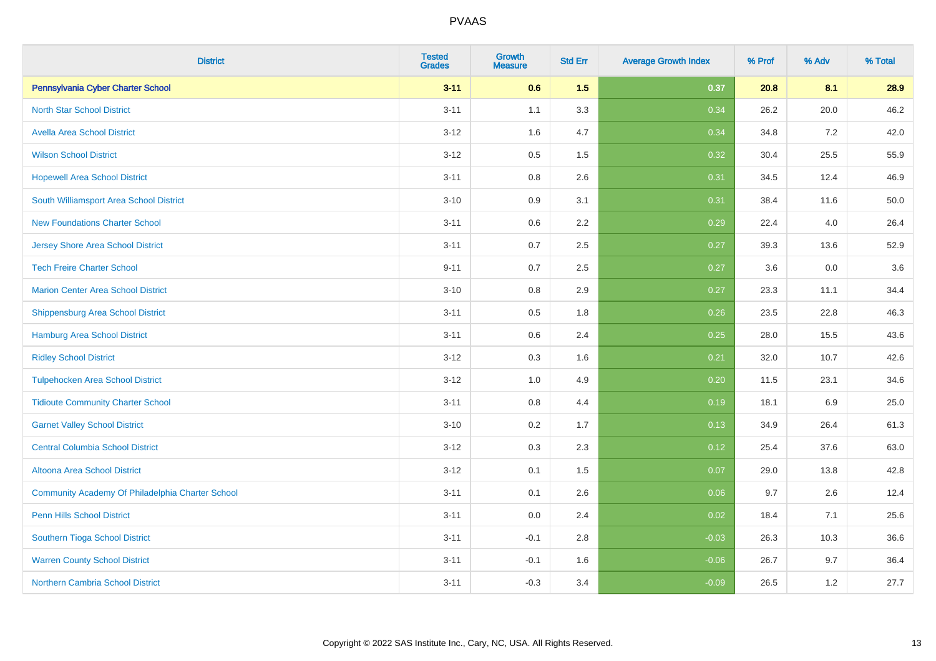| <b>District</b>                                  | <b>Tested</b><br><b>Grades</b> | Growth<br><b>Measure</b> | <b>Std Err</b> | <b>Average Growth Index</b> | % Prof | % Adv   | % Total  |
|--------------------------------------------------|--------------------------------|--------------------------|----------------|-----------------------------|--------|---------|----------|
| Pennsylvania Cyber Charter School                | $3 - 11$                       | 0.6                      | 1.5            | 0.37                        | 20.8   | 8.1     | 28.9     |
| <b>North Star School District</b>                | $3 - 11$                       | 1.1                      | 3.3            | 0.34                        | 26.2   | 20.0    | 46.2     |
| <b>Avella Area School District</b>               | $3 - 12$                       | 1.6                      | 4.7            | 0.34                        | 34.8   | 7.2     | 42.0     |
| <b>Wilson School District</b>                    | $3 - 12$                       | 0.5                      | 1.5            | 0.32                        | 30.4   | 25.5    | 55.9     |
| <b>Hopewell Area School District</b>             | $3 - 11$                       | 0.8                      | 2.6            | 0.31                        | 34.5   | 12.4    | 46.9     |
| South Williamsport Area School District          | $3 - 10$                       | 0.9                      | 3.1            | 0.31                        | 38.4   | 11.6    | $50.0\,$ |
| <b>New Foundations Charter School</b>            | $3 - 11$                       | 0.6                      | 2.2            | 0.29                        | 22.4   | 4.0     | 26.4     |
| <b>Jersey Shore Area School District</b>         | $3 - 11$                       | 0.7                      | 2.5            | 0.27                        | 39.3   | 13.6    | 52.9     |
| <b>Tech Freire Charter School</b>                | $9 - 11$                       | 0.7                      | 2.5            | 0.27                        | 3.6    | 0.0     | 3.6      |
| <b>Marion Center Area School District</b>        | $3 - 10$                       | 0.8                      | 2.9            | 0.27                        | 23.3   | 11.1    | 34.4     |
| Shippensburg Area School District                | $3 - 11$                       | 0.5                      | 1.8            | 0.26                        | 23.5   | 22.8    | 46.3     |
| Hamburg Area School District                     | $3 - 11$                       | 0.6                      | 2.4            | 0.25                        | 28.0   | 15.5    | 43.6     |
| <b>Ridley School District</b>                    | $3 - 12$                       | 0.3                      | 1.6            | 0.21                        | 32.0   | 10.7    | 42.6     |
| <b>Tulpehocken Area School District</b>          | $3 - 12$                       | 1.0                      | 4.9            | 0.20                        | 11.5   | 23.1    | 34.6     |
| <b>Tidioute Community Charter School</b>         | $3 - 11$                       | $0.8\,$                  | 4.4            | 0.19                        | 18.1   | $6.9\,$ | 25.0     |
| <b>Garnet Valley School District</b>             | $3 - 10$                       | 0.2                      | 1.7            | 0.13                        | 34.9   | 26.4    | 61.3     |
| <b>Central Columbia School District</b>          | $3 - 12$                       | 0.3                      | 2.3            | 0.12                        | 25.4   | 37.6    | 63.0     |
| Altoona Area School District                     | $3 - 12$                       | 0.1                      | 1.5            | 0.07                        | 29.0   | 13.8    | 42.8     |
| Community Academy Of Philadelphia Charter School | $3 - 11$                       | 0.1                      | 2.6            | 0.06                        | 9.7    | 2.6     | 12.4     |
| Penn Hills School District                       | $3 - 11$                       | 0.0                      | 2.4            | 0.02                        | 18.4   | 7.1     | 25.6     |
| Southern Tioga School District                   | $3 - 11$                       | $-0.1$                   | 2.8            | $-0.03$                     | 26.3   | 10.3    | 36.6     |
| <b>Warren County School District</b>             | $3 - 11$                       | $-0.1$                   | 1.6            | $-0.06$                     | 26.7   | 9.7     | 36.4     |
| <b>Northern Cambria School District</b>          | $3 - 11$                       | $-0.3$                   | 3.4            | $-0.09$                     | 26.5   | 1.2     | 27.7     |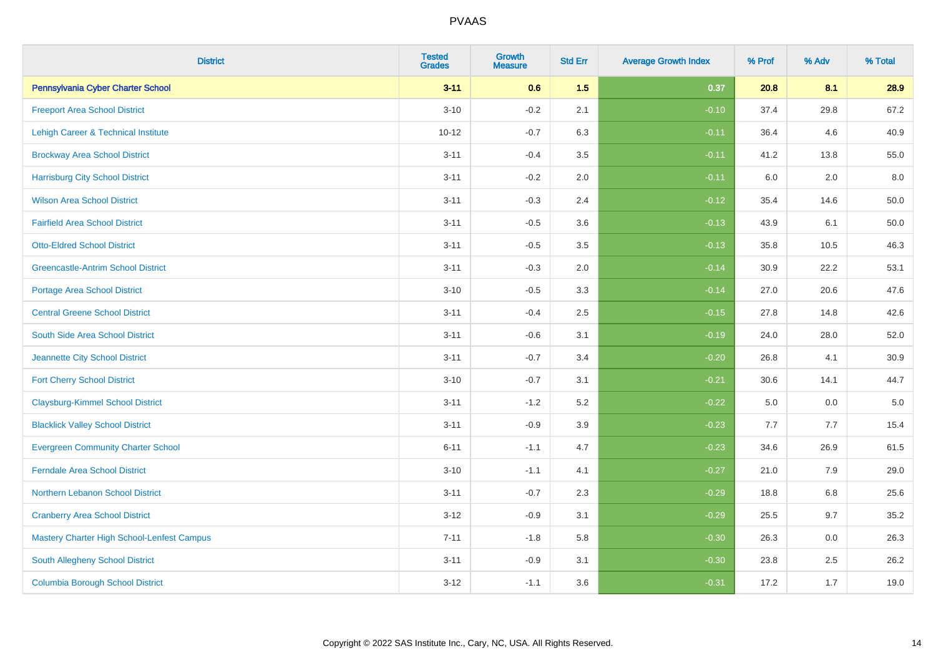| <b>District</b>                            | <b>Tested</b><br><b>Grades</b> | <b>Growth</b><br><b>Measure</b> | <b>Std Err</b> | <b>Average Growth Index</b> | % Prof | % Adv | % Total  |
|--------------------------------------------|--------------------------------|---------------------------------|----------------|-----------------------------|--------|-------|----------|
| Pennsylvania Cyber Charter School          | $3 - 11$                       | 0.6                             | 1.5            | 0.37                        | 20.8   | 8.1   | 28.9     |
| <b>Freeport Area School District</b>       | $3 - 10$                       | $-0.2$                          | 2.1            | $-0.10$                     | 37.4   | 29.8  | 67.2     |
| Lehigh Career & Technical Institute        | $10 - 12$                      | $-0.7$                          | 6.3            | $-0.11$                     | 36.4   | 4.6   | 40.9     |
| <b>Brockway Area School District</b>       | $3 - 11$                       | $-0.4$                          | 3.5            | $-0.11$                     | 41.2   | 13.8  | 55.0     |
| <b>Harrisburg City School District</b>     | $3 - 11$                       | $-0.2$                          | 2.0            | $-0.11$                     | 6.0    | 2.0   | 8.0      |
| <b>Wilson Area School District</b>         | $3 - 11$                       | $-0.3$                          | 2.4            | $-0.12$                     | 35.4   | 14.6  | 50.0     |
| <b>Fairfield Area School District</b>      | $3 - 11$                       | $-0.5$                          | 3.6            | $-0.13$                     | 43.9   | 6.1   | $50.0\,$ |
| <b>Otto-Eldred School District</b>         | $3 - 11$                       | $-0.5$                          | 3.5            | $-0.13$                     | 35.8   | 10.5  | 46.3     |
| <b>Greencastle-Antrim School District</b>  | $3 - 11$                       | $-0.3$                          | 2.0            | $-0.14$                     | 30.9   | 22.2  | 53.1     |
| <b>Portage Area School District</b>        | $3 - 10$                       | $-0.5$                          | 3.3            | $-0.14$                     | 27.0   | 20.6  | 47.6     |
| <b>Central Greene School District</b>      | $3 - 11$                       | $-0.4$                          | 2.5            | $-0.15$                     | 27.8   | 14.8  | 42.6     |
| South Side Area School District            | $3 - 11$                       | $-0.6$                          | 3.1            | $-0.19$                     | 24.0   | 28.0  | 52.0     |
| Jeannette City School District             | $3 - 11$                       | $-0.7$                          | 3.4            | $-0.20$                     | 26.8   | 4.1   | 30.9     |
| <b>Fort Cherry School District</b>         | $3 - 10$                       | $-0.7$                          | 3.1            | $-0.21$                     | 30.6   | 14.1  | 44.7     |
| <b>Claysburg-Kimmel School District</b>    | $3 - 11$                       | $-1.2$                          | 5.2            | $-0.22$                     | 5.0    | 0.0   | $5.0\,$  |
| <b>Blacklick Valley School District</b>    | $3 - 11$                       | $-0.9$                          | 3.9            | $-0.23$                     | 7.7    | 7.7   | 15.4     |
| <b>Evergreen Community Charter School</b>  | $6 - 11$                       | $-1.1$                          | 4.7            | $-0.23$                     | 34.6   | 26.9  | 61.5     |
| <b>Ferndale Area School District</b>       | $3 - 10$                       | $-1.1$                          | 4.1            | $-0.27$                     | 21.0   | 7.9   | 29.0     |
| Northern Lebanon School District           | $3 - 11$                       | $-0.7$                          | 2.3            | $-0.29$                     | 18.8   | 6.8   | 25.6     |
| <b>Cranberry Area School District</b>      | $3 - 12$                       | $-0.9$                          | 3.1            | $-0.29$                     | 25.5   | 9.7   | 35.2     |
| Mastery Charter High School-Lenfest Campus | $7 - 11$                       | $-1.8$                          | 5.8            | $-0.30$                     | 26.3   | 0.0   | 26.3     |
| South Allegheny School District            | $3 - 11$                       | $-0.9$                          | 3.1            | $-0.30$                     | 23.8   | 2.5   | 26.2     |
| <b>Columbia Borough School District</b>    | $3 - 12$                       | $-1.1$                          | 3.6            | $-0.31$                     | 17.2   | 1.7   | 19.0     |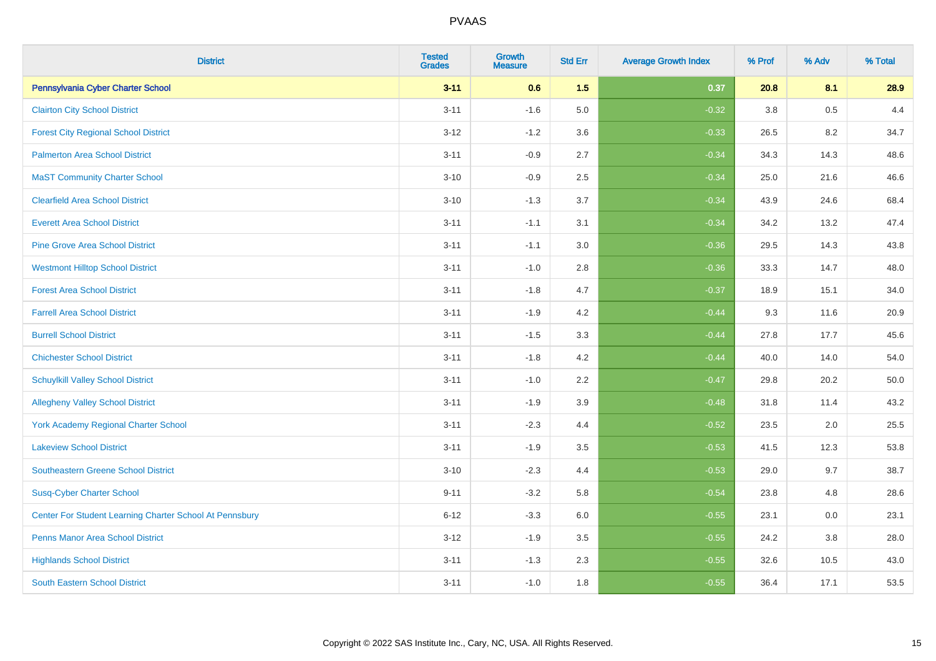| <b>District</b>                                         | <b>Tested</b><br><b>Grades</b> | <b>Growth</b><br><b>Measure</b> | <b>Std Err</b> | <b>Average Growth Index</b> | % Prof | % Adv | % Total |
|---------------------------------------------------------|--------------------------------|---------------------------------|----------------|-----------------------------|--------|-------|---------|
| Pennsylvania Cyber Charter School                       | $3 - 11$                       | 0.6                             | 1.5            | 0.37                        | 20.8   | 8.1   | 28.9    |
| <b>Clairton City School District</b>                    | $3 - 11$                       | $-1.6$                          | 5.0            | $-0.32$                     | 3.8    | 0.5   | 4.4     |
| <b>Forest City Regional School District</b>             | $3 - 12$                       | $-1.2$                          | 3.6            | $-0.33$                     | 26.5   | 8.2   | 34.7    |
| <b>Palmerton Area School District</b>                   | $3 - 11$                       | $-0.9$                          | 2.7            | $-0.34$                     | 34.3   | 14.3  | 48.6    |
| <b>MaST Community Charter School</b>                    | $3 - 10$                       | $-0.9$                          | 2.5            | $-0.34$                     | 25.0   | 21.6  | 46.6    |
| <b>Clearfield Area School District</b>                  | $3 - 10$                       | $-1.3$                          | 3.7            | $-0.34$                     | 43.9   | 24.6  | 68.4    |
| <b>Everett Area School District</b>                     | $3 - 11$                       | $-1.1$                          | 3.1            | $-0.34$                     | 34.2   | 13.2  | 47.4    |
| <b>Pine Grove Area School District</b>                  | $3 - 11$                       | $-1.1$                          | 3.0            | $-0.36$                     | 29.5   | 14.3  | 43.8    |
| <b>Westmont Hilltop School District</b>                 | $3 - 11$                       | $-1.0$                          | 2.8            | $-0.36$                     | 33.3   | 14.7  | 48.0    |
| <b>Forest Area School District</b>                      | $3 - 11$                       | $-1.8$                          | 4.7            | $-0.37$                     | 18.9   | 15.1  | 34.0    |
| <b>Farrell Area School District</b>                     | $3 - 11$                       | $-1.9$                          | 4.2            | $-0.44$                     | 9.3    | 11.6  | 20.9    |
| <b>Burrell School District</b>                          | $3 - 11$                       | $-1.5$                          | 3.3            | $-0.44$                     | 27.8   | 17.7  | 45.6    |
| <b>Chichester School District</b>                       | $3 - 11$                       | $-1.8$                          | 4.2            | $-0.44$                     | 40.0   | 14.0  | 54.0    |
| <b>Schuylkill Valley School District</b>                | $3 - 11$                       | $-1.0$                          | 2.2            | $-0.47$                     | 29.8   | 20.2  | 50.0    |
| <b>Allegheny Valley School District</b>                 | $3 - 11$                       | $-1.9$                          | 3.9            | $-0.48$                     | 31.8   | 11.4  | 43.2    |
| <b>York Academy Regional Charter School</b>             | $3 - 11$                       | $-2.3$                          | 4.4            | $-0.52$                     | 23.5   | 2.0   | 25.5    |
| <b>Lakeview School District</b>                         | $3 - 11$                       | $-1.9$                          | 3.5            | $-0.53$                     | 41.5   | 12.3  | 53.8    |
| <b>Southeastern Greene School District</b>              | $3 - 10$                       | $-2.3$                          | 4.4            | $-0.53$                     | 29.0   | 9.7   | 38.7    |
| <b>Susq-Cyber Charter School</b>                        | $9 - 11$                       | $-3.2$                          | 5.8            | $-0.54$                     | 23.8   | 4.8   | 28.6    |
| Center For Student Learning Charter School At Pennsbury | $6 - 12$                       | $-3.3$                          | 6.0            | $-0.55$                     | 23.1   | 0.0   | 23.1    |
| <b>Penns Manor Area School District</b>                 | $3 - 12$                       | $-1.9$                          | 3.5            | $-0.55$                     | 24.2   | 3.8   | 28.0    |
| <b>Highlands School District</b>                        | $3 - 11$                       | $-1.3$                          | 2.3            | $-0.55$                     | 32.6   | 10.5  | 43.0    |
| South Eastern School District                           | $3 - 11$                       | $-1.0$                          | 1.8            | $-0.55$                     | 36.4   | 17.1  | 53.5    |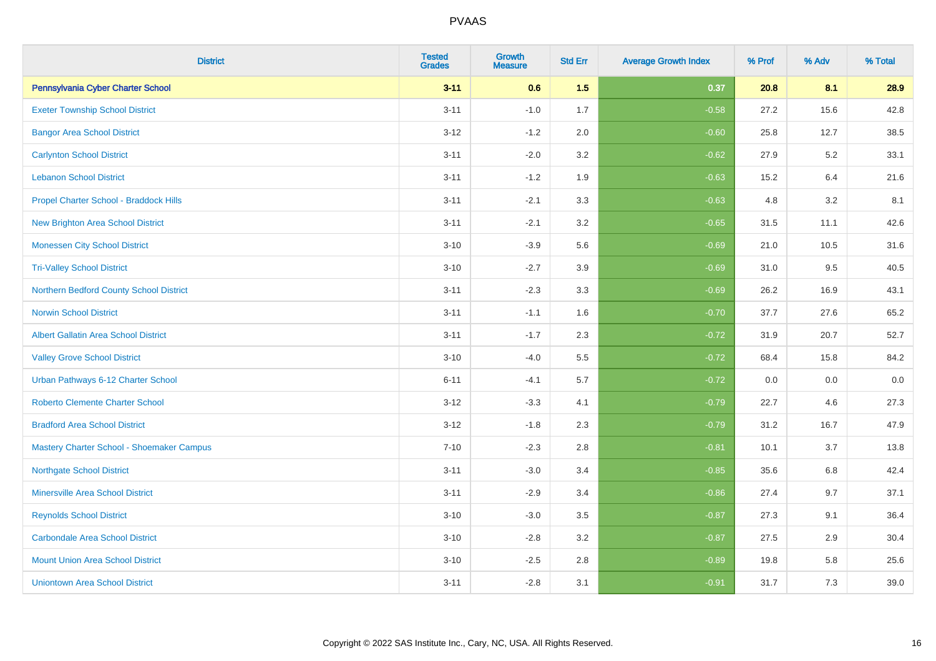| <b>District</b>                             | <b>Tested</b><br><b>Grades</b> | <b>Growth</b><br><b>Measure</b> | <b>Std Err</b> | <b>Average Growth Index</b> | % Prof | % Adv | % Total |
|---------------------------------------------|--------------------------------|---------------------------------|----------------|-----------------------------|--------|-------|---------|
| Pennsylvania Cyber Charter School           | $3 - 11$                       | 0.6                             | 1.5            | 0.37                        | 20.8   | 8.1   | 28.9    |
| <b>Exeter Township School District</b>      | $3 - 11$                       | $-1.0$                          | 1.7            | $-0.58$                     | 27.2   | 15.6  | 42.8    |
| <b>Bangor Area School District</b>          | $3 - 12$                       | $-1.2$                          | 2.0            | $-0.60$                     | 25.8   | 12.7  | 38.5    |
| <b>Carlynton School District</b>            | $3 - 11$                       | $-2.0$                          | 3.2            | $-0.62$                     | 27.9   | 5.2   | 33.1    |
| <b>Lebanon School District</b>              | $3 - 11$                       | $-1.2$                          | 1.9            | $-0.63$                     | 15.2   | 6.4   | 21.6    |
| Propel Charter School - Braddock Hills      | $3 - 11$                       | $-2.1$                          | 3.3            | $-0.63$                     | 4.8    | 3.2   | 8.1     |
| <b>New Brighton Area School District</b>    | $3 - 11$                       | $-2.1$                          | 3.2            | $-0.65$                     | 31.5   | 11.1  | 42.6    |
| <b>Monessen City School District</b>        | $3 - 10$                       | $-3.9$                          | 5.6            | $-0.69$                     | 21.0   | 10.5  | 31.6    |
| <b>Tri-Valley School District</b>           | $3 - 10$                       | $-2.7$                          | 3.9            | $-0.69$                     | 31.0   | 9.5   | 40.5    |
| Northern Bedford County School District     | $3 - 11$                       | $-2.3$                          | 3.3            | $-0.69$                     | 26.2   | 16.9  | 43.1    |
| <b>Norwin School District</b>               | $3 - 11$                       | $-1.1$                          | 1.6            | $-0.70$                     | 37.7   | 27.6  | 65.2    |
| <b>Albert Gallatin Area School District</b> | $3 - 11$                       | $-1.7$                          | 2.3            | $-0.72$                     | 31.9   | 20.7  | 52.7    |
| <b>Valley Grove School District</b>         | $3 - 10$                       | $-4.0$                          | 5.5            | $-0.72$                     | 68.4   | 15.8  | 84.2    |
| Urban Pathways 6-12 Charter School          | $6 - 11$                       | $-4.1$                          | 5.7            | $-0.72$                     | 0.0    | 0.0   | $0.0\,$ |
| <b>Roberto Clemente Charter School</b>      | $3-12$                         | $-3.3$                          | 4.1            | $-0.79$                     | 22.7   | 4.6   | 27.3    |
| <b>Bradford Area School District</b>        | $3 - 12$                       | $-1.8$                          | 2.3            | $-0.79$                     | 31.2   | 16.7  | 47.9    |
| Mastery Charter School - Shoemaker Campus   | $7 - 10$                       | $-2.3$                          | 2.8            | $-0.81$                     | 10.1   | 3.7   | 13.8    |
| <b>Northgate School District</b>            | $3 - 11$                       | $-3.0$                          | 3.4            | $-0.85$                     | 35.6   | 6.8   | 42.4    |
| <b>Minersville Area School District</b>     | $3 - 11$                       | $-2.9$                          | 3.4            | $-0.86$                     | 27.4   | 9.7   | 37.1    |
| <b>Reynolds School District</b>             | $3 - 10$                       | $-3.0$                          | 3.5            | $-0.87$                     | 27.3   | 9.1   | 36.4    |
| <b>Carbondale Area School District</b>      | $3 - 10$                       | $-2.8$                          | 3.2            | $-0.87$                     | 27.5   | 2.9   | 30.4    |
| <b>Mount Union Area School District</b>     | $3 - 10$                       | $-2.5$                          | 2.8            | $-0.89$                     | 19.8   | 5.8   | 25.6    |
| <b>Uniontown Area School District</b>       | $3 - 11$                       | $-2.8$                          | 3.1            | $-0.91$                     | 31.7   | 7.3   | 39.0    |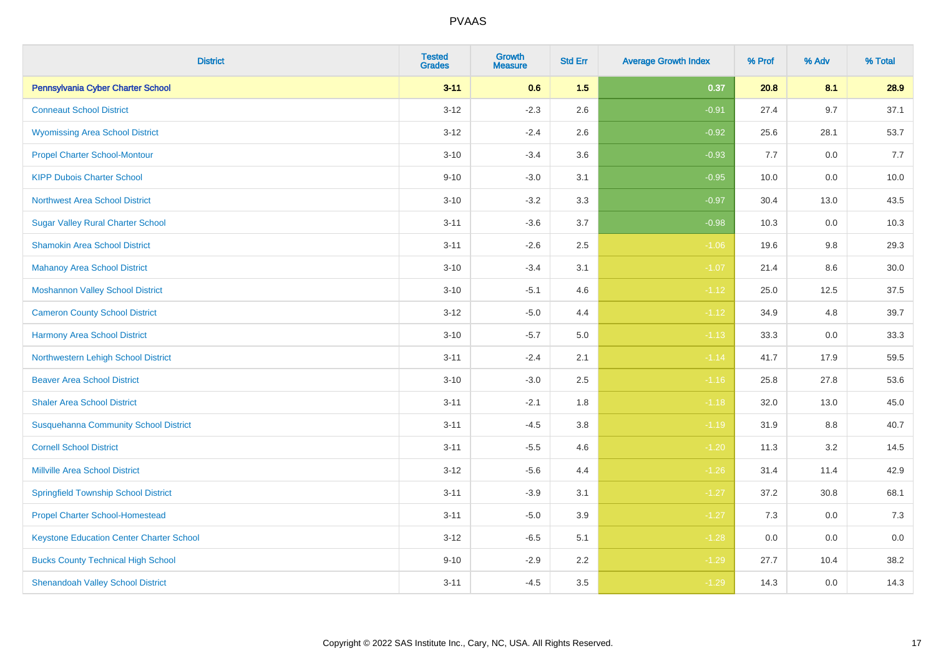| <b>District</b>                                 | <b>Tested</b><br><b>Grades</b> | <b>Growth</b><br><b>Measure</b> | <b>Std Err</b> | <b>Average Growth Index</b> | % Prof | % Adv | % Total |
|-------------------------------------------------|--------------------------------|---------------------------------|----------------|-----------------------------|--------|-------|---------|
| Pennsylvania Cyber Charter School               | $3 - 11$                       | 0.6                             | 1.5            | 0.37                        | 20.8   | 8.1   | 28.9    |
| <b>Conneaut School District</b>                 | $3 - 12$                       | $-2.3$                          | 2.6            | $-0.91$                     | 27.4   | 9.7   | 37.1    |
| <b>Wyomissing Area School District</b>          | $3-12$                         | $-2.4$                          | 2.6            | $-0.92$                     | 25.6   | 28.1  | 53.7    |
| <b>Propel Charter School-Montour</b>            | $3 - 10$                       | $-3.4$                          | 3.6            | $-0.93$                     | 7.7    | 0.0   | 7.7     |
| <b>KIPP Dubois Charter School</b>               | $9 - 10$                       | $-3.0$                          | 3.1            | $-0.95$                     | 10.0   | 0.0   | 10.0    |
| <b>Northwest Area School District</b>           | $3 - 10$                       | $-3.2$                          | 3.3            | $-0.97$                     | 30.4   | 13.0  | 43.5    |
| <b>Sugar Valley Rural Charter School</b>        | $3 - 11$                       | $-3.6$                          | 3.7            | $-0.98$                     | 10.3   | 0.0   | 10.3    |
| <b>Shamokin Area School District</b>            | $3 - 11$                       | $-2.6$                          | 2.5            | $-1.06$                     | 19.6   | 9.8   | 29.3    |
| <b>Mahanoy Area School District</b>             | $3 - 10$                       | $-3.4$                          | 3.1            | $-1.07$                     | 21.4   | 8.6   | 30.0    |
| <b>Moshannon Valley School District</b>         | $3 - 10$                       | $-5.1$                          | 4.6            | $-1.12$                     | 25.0   | 12.5  | 37.5    |
| <b>Cameron County School District</b>           | $3-12$                         | $-5.0$                          | 4.4            | $-1.12$                     | 34.9   | 4.8   | 39.7    |
| <b>Harmony Area School District</b>             | $3 - 10$                       | $-5.7$                          | 5.0            | $-1.13$                     | 33.3   | 0.0   | 33.3    |
| Northwestern Lehigh School District             | $3 - 11$                       | $-2.4$                          | 2.1            | $-1.14$                     | 41.7   | 17.9  | 59.5    |
| <b>Beaver Area School District</b>              | $3 - 10$                       | $-3.0$                          | 2.5            | $-1.16$                     | 25.8   | 27.8  | 53.6    |
| <b>Shaler Area School District</b>              | $3 - 11$                       | $-2.1$                          | 1.8            | $-1.18$                     | 32.0   | 13.0  | 45.0    |
| <b>Susquehanna Community School District</b>    | $3 - 11$                       | $-4.5$                          | 3.8            | $-1.19$                     | 31.9   | 8.8   | 40.7    |
| <b>Cornell School District</b>                  | $3 - 11$                       | $-5.5$                          | 4.6            | $-1.20$                     | 11.3   | 3.2   | 14.5    |
| <b>Millville Area School District</b>           | $3-12$                         | $-5.6$                          | 4.4            | $-1.26$                     | 31.4   | 11.4  | 42.9    |
| <b>Springfield Township School District</b>     | $3 - 11$                       | $-3.9$                          | 3.1            | $-1.27$                     | 37.2   | 30.8  | 68.1    |
| <b>Propel Charter School-Homestead</b>          | $3 - 11$                       | $-5.0$                          | 3.9            | $-1.27$                     | 7.3    | 0.0   | 7.3     |
| <b>Keystone Education Center Charter School</b> | $3 - 12$                       | $-6.5$                          | 5.1            | $-1.28$                     | 0.0    | 0.0   | 0.0     |
| <b>Bucks County Technical High School</b>       | $9 - 10$                       | $-2.9$                          | 2.2            | $-1.29$                     | 27.7   | 10.4  | 38.2    |
| <b>Shenandoah Valley School District</b>        | $3 - 11$                       | $-4.5$                          | 3.5            | $-1.29$                     | 14.3   | 0.0   | 14.3    |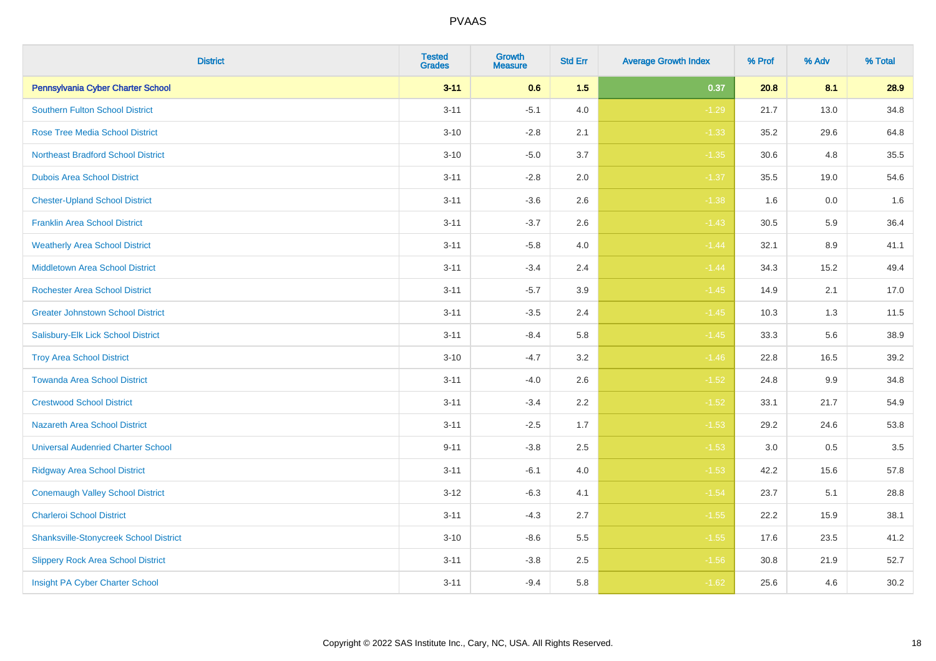| <b>District</b>                               | <b>Tested</b><br><b>Grades</b> | <b>Growth</b><br><b>Measure</b> | <b>Std Err</b> | <b>Average Growth Index</b> | % Prof | % Adv | % Total |
|-----------------------------------------------|--------------------------------|---------------------------------|----------------|-----------------------------|--------|-------|---------|
| Pennsylvania Cyber Charter School             | $3 - 11$                       | 0.6                             | 1.5            | 0.37                        | 20.8   | 8.1   | 28.9    |
| <b>Southern Fulton School District</b>        | $3 - 11$                       | $-5.1$                          | 4.0            | $-1.29$                     | 21.7   | 13.0  | 34.8    |
| <b>Rose Tree Media School District</b>        | $3 - 10$                       | $-2.8$                          | 2.1            | $-1.33$                     | 35.2   | 29.6  | 64.8    |
| <b>Northeast Bradford School District</b>     | $3 - 10$                       | $-5.0$                          | 3.7            | $-1.35$                     | 30.6   | 4.8   | 35.5    |
| <b>Dubois Area School District</b>            | $3 - 11$                       | $-2.8$                          | 2.0            | $-1.37$                     | 35.5   | 19.0  | 54.6    |
| <b>Chester-Upland School District</b>         | $3 - 11$                       | $-3.6$                          | 2.6            | $-1.38$                     | 1.6    | 0.0   | 1.6     |
| <b>Franklin Area School District</b>          | $3 - 11$                       | $-3.7$                          | 2.6            | $-1.43$                     | 30.5   | 5.9   | 36.4    |
| <b>Weatherly Area School District</b>         | $3 - 11$                       | $-5.8$                          | 4.0            | $-1.44$                     | 32.1   | 8.9   | 41.1    |
| <b>Middletown Area School District</b>        | $3 - 11$                       | $-3.4$                          | 2.4            | $-1.44$                     | 34.3   | 15.2  | 49.4    |
| <b>Rochester Area School District</b>         | $3 - 11$                       | $-5.7$                          | 3.9            | $-1.45$                     | 14.9   | 2.1   | 17.0    |
| <b>Greater Johnstown School District</b>      | $3 - 11$                       | $-3.5$                          | 2.4            | $-1.45$                     | 10.3   | 1.3   | 11.5    |
| Salisbury-Elk Lick School District            | $3 - 11$                       | $-8.4$                          | 5.8            | $-1.45$                     | 33.3   | 5.6   | 38.9    |
| <b>Troy Area School District</b>              | $3 - 10$                       | $-4.7$                          | 3.2            | $-1.46$                     | 22.8   | 16.5  | 39.2    |
| <b>Towanda Area School District</b>           | $3 - 11$                       | $-4.0$                          | 2.6            | $-1.52$                     | 24.8   | 9.9   | 34.8    |
| <b>Crestwood School District</b>              | $3 - 11$                       | $-3.4$                          | 2.2            | $-1.52$                     | 33.1   | 21.7  | 54.9    |
| <b>Nazareth Area School District</b>          | $3 - 11$                       | $-2.5$                          | 1.7            | $-1.53$                     | 29.2   | 24.6  | 53.8    |
| <b>Universal Audenried Charter School</b>     | $9 - 11$                       | $-3.8$                          | 2.5            | $-1.53$                     | 3.0    | 0.5   | 3.5     |
| <b>Ridgway Area School District</b>           | $3 - 11$                       | $-6.1$                          | 4.0            | $-1.53$                     | 42.2   | 15.6  | 57.8    |
| <b>Conemaugh Valley School District</b>       | $3 - 12$                       | $-6.3$                          | 4.1            | $-1.54$                     | 23.7   | 5.1   | 28.8    |
| <b>Charleroi School District</b>              | $3 - 11$                       | $-4.3$                          | 2.7            | $-1.55$                     | 22.2   | 15.9  | 38.1    |
| <b>Shanksville-Stonycreek School District</b> | $3 - 10$                       | $-8.6$                          | 5.5            | $-1.55$                     | 17.6   | 23.5  | 41.2    |
| <b>Slippery Rock Area School District</b>     | $3 - 11$                       | $-3.8$                          | 2.5            | $-1.56$                     | 30.8   | 21.9  | 52.7    |
| Insight PA Cyber Charter School               | $3 - 11$                       | $-9.4$                          | 5.8            | $-1.62$                     | 25.6   | 4.6   | 30.2    |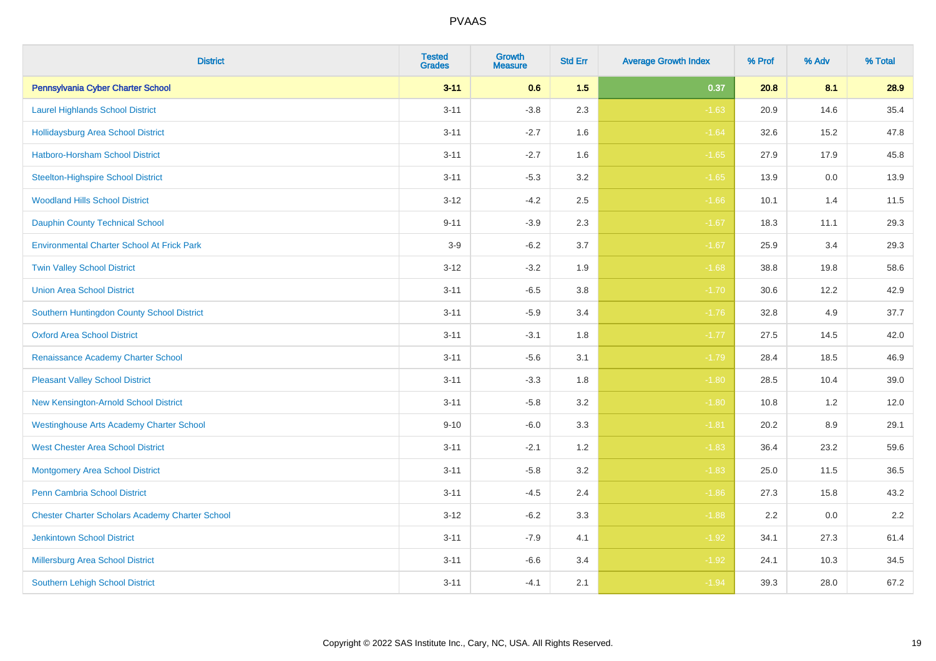| <b>District</b>                                        | <b>Tested</b><br><b>Grades</b> | <b>Growth</b><br><b>Measure</b> | <b>Std Err</b> | <b>Average Growth Index</b> | % Prof | % Adv   | % Total |
|--------------------------------------------------------|--------------------------------|---------------------------------|----------------|-----------------------------|--------|---------|---------|
| Pennsylvania Cyber Charter School                      | $3 - 11$                       | 0.6                             | 1.5            | 0.37                        | 20.8   | 8.1     | 28.9    |
| <b>Laurel Highlands School District</b>                | $3 - 11$                       | $-3.8$                          | 2.3            | $-1.63$                     | 20.9   | 14.6    | 35.4    |
| <b>Hollidaysburg Area School District</b>              | $3 - 11$                       | $-2.7$                          | 1.6            | $-1.64$                     | 32.6   | 15.2    | 47.8    |
| <b>Hatboro-Horsham School District</b>                 | $3 - 11$                       | $-2.7$                          | 1.6            | $-1.65$                     | 27.9   | 17.9    | 45.8    |
| <b>Steelton-Highspire School District</b>              | $3 - 11$                       | $-5.3$                          | 3.2            | $-1.65$                     | 13.9   | 0.0     | 13.9    |
| <b>Woodland Hills School District</b>                  | $3 - 12$                       | $-4.2$                          | 2.5            | $-1.66$                     | 10.1   | 1.4     | 11.5    |
| <b>Dauphin County Technical School</b>                 | $9 - 11$                       | $-3.9$                          | 2.3            | $-1.67$                     | 18.3   | 11.1    | 29.3    |
| <b>Environmental Charter School At Frick Park</b>      | $3-9$                          | $-6.2$                          | 3.7            | $-1.67$                     | 25.9   | 3.4     | 29.3    |
| <b>Twin Valley School District</b>                     | $3 - 12$                       | $-3.2$                          | 1.9            | $-1.68$                     | 38.8   | 19.8    | 58.6    |
| <b>Union Area School District</b>                      | $3 - 11$                       | $-6.5$                          | 3.8            | $-1.70$                     | 30.6   | 12.2    | 42.9    |
| Southern Huntingdon County School District             | $3 - 11$                       | $-5.9$                          | 3.4            | $-1.76$                     | 32.8   | 4.9     | 37.7    |
| <b>Oxford Area School District</b>                     | $3 - 11$                       | $-3.1$                          | 1.8            | $-1.77$                     | 27.5   | 14.5    | 42.0    |
| Renaissance Academy Charter School                     | $3 - 11$                       | $-5.6$                          | 3.1            | $-1.79$                     | 28.4   | 18.5    | 46.9    |
| <b>Pleasant Valley School District</b>                 | $3 - 11$                       | $-3.3$                          | 1.8            | $-1.80$                     | 28.5   | 10.4    | 39.0    |
| New Kensington-Arnold School District                  | $3 - 11$                       | $-5.8$                          | 3.2            | $-1.80$                     | 10.8   | 1.2     | 12.0    |
| <b>Westinghouse Arts Academy Charter School</b>        | $9 - 10$                       | $-6.0$                          | 3.3            | $-1.81$                     | 20.2   | $8.9\,$ | 29.1    |
| <b>West Chester Area School District</b>               | $3 - 11$                       | $-2.1$                          | 1.2            | $-1.83$                     | 36.4   | 23.2    | 59.6    |
| <b>Montgomery Area School District</b>                 | $3 - 11$                       | $-5.8$                          | 3.2            | $-1.83$                     | 25.0   | 11.5    | 36.5    |
| Penn Cambria School District                           | $3 - 11$                       | $-4.5$                          | 2.4            | $-1.86$                     | 27.3   | 15.8    | 43.2    |
| <b>Chester Charter Scholars Academy Charter School</b> | $3 - 12$                       | $-6.2$                          | 3.3            | $-1.88$                     | 2.2    | 0.0     | 2.2     |
| <b>Jenkintown School District</b>                      | $3 - 11$                       | $-7.9$                          | 4.1            | $-1.92$                     | 34.1   | 27.3    | 61.4    |
| Millersburg Area School District                       | $3 - 11$                       | $-6.6$                          | 3.4            | $-1.92$                     | 24.1   | 10.3    | 34.5    |
| <b>Southern Lehigh School District</b>                 | $3 - 11$                       | $-4.1$                          | 2.1            | $-1.94$                     | 39.3   | 28.0    | 67.2    |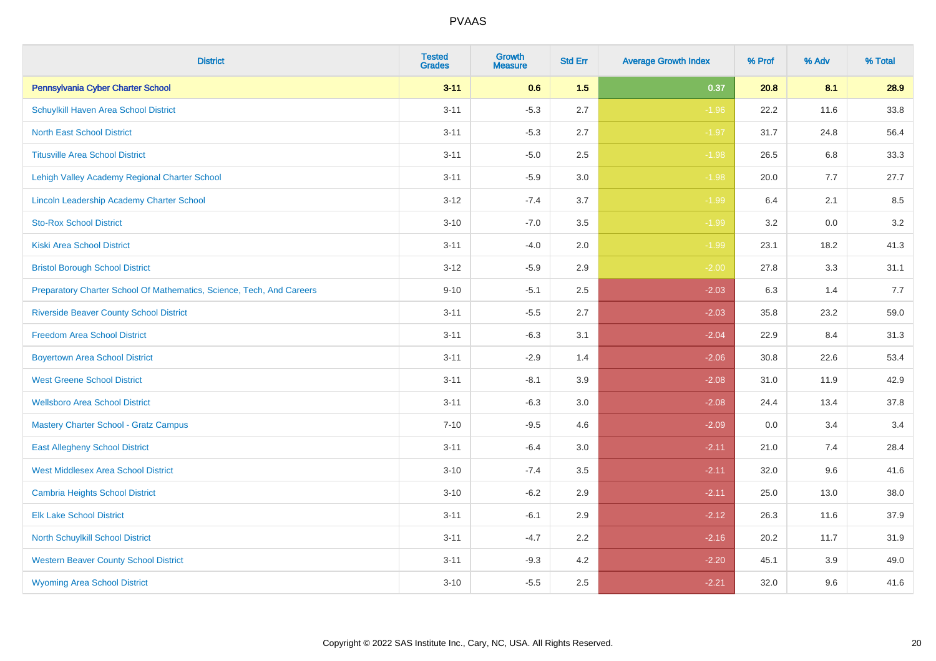| <b>District</b>                                                       | <b>Tested</b><br><b>Grades</b> | <b>Growth</b><br><b>Measure</b> | <b>Std Err</b> | <b>Average Growth Index</b> | % Prof | % Adv | % Total |
|-----------------------------------------------------------------------|--------------------------------|---------------------------------|----------------|-----------------------------|--------|-------|---------|
| Pennsylvania Cyber Charter School                                     | $3 - 11$                       | 0.6                             | 1.5            | 0.37                        | 20.8   | 8.1   | 28.9    |
| Schuylkill Haven Area School District                                 | $3 - 11$                       | $-5.3$                          | 2.7            | $-1.96$                     | 22.2   | 11.6  | 33.8    |
| <b>North East School District</b>                                     | $3 - 11$                       | $-5.3$                          | 2.7            | $-1.97$                     | 31.7   | 24.8  | 56.4    |
| <b>Titusville Area School District</b>                                | $3 - 11$                       | $-5.0$                          | 2.5            | $-1.98$                     | 26.5   | 6.8   | 33.3    |
| Lehigh Valley Academy Regional Charter School                         | $3 - 11$                       | $-5.9$                          | 3.0            | $-1.98$                     | 20.0   | 7.7   | 27.7    |
| Lincoln Leadership Academy Charter School                             | $3 - 12$                       | $-7.4$                          | 3.7            | $-1.99$                     | 6.4    | 2.1   | 8.5     |
| <b>Sto-Rox School District</b>                                        | $3 - 10$                       | $-7.0$                          | 3.5            | $-1.99$                     | 3.2    | 0.0   | 3.2     |
| <b>Kiski Area School District</b>                                     | $3 - 11$                       | $-4.0$                          | 2.0            | $-1.99$                     | 23.1   | 18.2  | 41.3    |
| <b>Bristol Borough School District</b>                                | $3 - 12$                       | $-5.9$                          | 2.9            | $-2.00$                     | 27.8   | 3.3   | 31.1    |
| Preparatory Charter School Of Mathematics, Science, Tech, And Careers | $9 - 10$                       | $-5.1$                          | 2.5            | $-2.03$                     | 6.3    | 1.4   | 7.7     |
| <b>Riverside Beaver County School District</b>                        | $3 - 11$                       | $-5.5$                          | 2.7            | $-2.03$                     | 35.8   | 23.2  | 59.0    |
| <b>Freedom Area School District</b>                                   | $3 - 11$                       | $-6.3$                          | 3.1            | $-2.04$                     | 22.9   | 8.4   | 31.3    |
| <b>Boyertown Area School District</b>                                 | $3 - 11$                       | $-2.9$                          | 1.4            | $-2.06$                     | 30.8   | 22.6  | 53.4    |
| <b>West Greene School District</b>                                    | $3 - 11$                       | $-8.1$                          | 3.9            | $-2.08$                     | 31.0   | 11.9  | 42.9    |
| <b>Wellsboro Area School District</b>                                 | $3 - 11$                       | $-6.3$                          | 3.0            | $-2.08$                     | 24.4   | 13.4  | 37.8    |
| <b>Mastery Charter School - Gratz Campus</b>                          | $7 - 10$                       | $-9.5$                          | 4.6            | $-2.09$                     | 0.0    | 3.4   | 3.4     |
| <b>East Allegheny School District</b>                                 | $3 - 11$                       | $-6.4$                          | 3.0            | $-2.11$                     | 21.0   | 7.4   | 28.4    |
| <b>West Middlesex Area School District</b>                            | $3 - 10$                       | $-7.4$                          | 3.5            | $-2.11$                     | 32.0   | 9.6   | 41.6    |
| <b>Cambria Heights School District</b>                                | $3 - 10$                       | $-6.2$                          | 2.9            | $-2.11$                     | 25.0   | 13.0  | 38.0    |
| <b>Elk Lake School District</b>                                       | $3 - 11$                       | $-6.1$                          | 2.9            | $-2.12$                     | 26.3   | 11.6  | 37.9    |
| <b>North Schuylkill School District</b>                               | $3 - 11$                       | $-4.7$                          | 2.2            | $-2.16$                     | 20.2   | 11.7  | 31.9    |
| <b>Western Beaver County School District</b>                          | $3 - 11$                       | $-9.3$                          | 4.2            | $-2.20$                     | 45.1   | 3.9   | 49.0    |
| <b>Wyoming Area School District</b>                                   | $3 - 10$                       | $-5.5$                          | 2.5            | $-2.21$                     | 32.0   | 9.6   | 41.6    |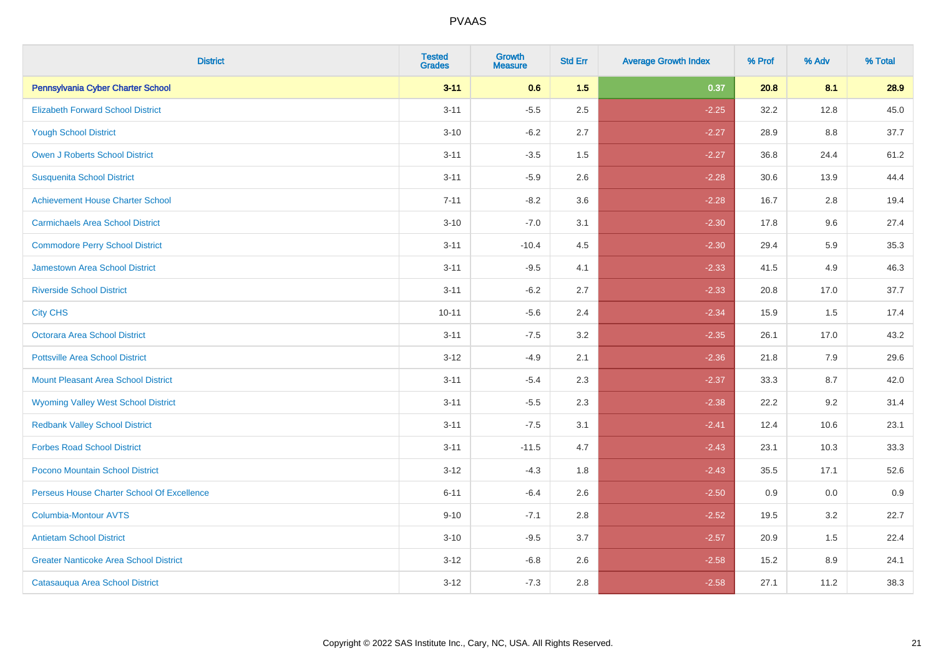| <b>District</b>                               | <b>Tested</b><br><b>Grades</b> | <b>Growth</b><br><b>Measure</b> | <b>Std Err</b> | <b>Average Growth Index</b> | % Prof | % Adv | % Total |
|-----------------------------------------------|--------------------------------|---------------------------------|----------------|-----------------------------|--------|-------|---------|
| Pennsylvania Cyber Charter School             | $3 - 11$                       | 0.6                             | 1.5            | 0.37                        | 20.8   | 8.1   | 28.9    |
| <b>Elizabeth Forward School District</b>      | $3 - 11$                       | $-5.5$                          | 2.5            | $-2.25$                     | 32.2   | 12.8  | 45.0    |
| <b>Yough School District</b>                  | $3 - 10$                       | $-6.2$                          | 2.7            | $-2.27$                     | 28.9   | 8.8   | 37.7    |
| <b>Owen J Roberts School District</b>         | $3 - 11$                       | $-3.5$                          | 1.5            | $-2.27$                     | 36.8   | 24.4  | 61.2    |
| <b>Susquenita School District</b>             | $3 - 11$                       | $-5.9$                          | 2.6            | $-2.28$                     | 30.6   | 13.9  | 44.4    |
| <b>Achievement House Charter School</b>       | $7 - 11$                       | $-8.2$                          | 3.6            | $-2.28$                     | 16.7   | 2.8   | 19.4    |
| <b>Carmichaels Area School District</b>       | $3 - 10$                       | $-7.0$                          | 3.1            | $-2.30$                     | 17.8   | 9.6   | 27.4    |
| <b>Commodore Perry School District</b>        | $3 - 11$                       | $-10.4$                         | 4.5            | $-2.30$                     | 29.4   | 5.9   | 35.3    |
| Jamestown Area School District                | $3 - 11$                       | $-9.5$                          | 4.1            | $-2.33$                     | 41.5   | 4.9   | 46.3    |
| <b>Riverside School District</b>              | $3 - 11$                       | $-6.2$                          | 2.7            | $-2.33$                     | 20.8   | 17.0  | 37.7    |
| <b>City CHS</b>                               | $10 - 11$                      | $-5.6$                          | 2.4            | $-2.34$                     | 15.9   | 1.5   | 17.4    |
| Octorara Area School District                 | $3 - 11$                       | $-7.5$                          | 3.2            | $-2.35$                     | 26.1   | 17.0  | 43.2    |
| <b>Pottsville Area School District</b>        | $3 - 12$                       | $-4.9$                          | 2.1            | $-2.36$                     | 21.8   | 7.9   | 29.6    |
| <b>Mount Pleasant Area School District</b>    | $3 - 11$                       | $-5.4$                          | 2.3            | $-2.37$                     | 33.3   | 8.7   | 42.0    |
| <b>Wyoming Valley West School District</b>    | $3 - 11$                       | $-5.5$                          | 2.3            | $-2.38$                     | 22.2   | 9.2   | 31.4    |
| <b>Redbank Valley School District</b>         | $3 - 11$                       | $-7.5$                          | 3.1            | $-2.41$                     | 12.4   | 10.6  | 23.1    |
| <b>Forbes Road School District</b>            | $3 - 11$                       | $-11.5$                         | 4.7            | $-2.43$                     | 23.1   | 10.3  | 33.3    |
| Pocono Mountain School District               | $3 - 12$                       | $-4.3$                          | 1.8            | $-2.43$                     | 35.5   | 17.1  | 52.6    |
| Perseus House Charter School Of Excellence    | $6 - 11$                       | $-6.4$                          | 2.6            | $-2.50$                     | 0.9    | 0.0   | 0.9     |
| <b>Columbia-Montour AVTS</b>                  | $9 - 10$                       | $-7.1$                          | 2.8            | $-2.52$                     | 19.5   | 3.2   | 22.7    |
| <b>Antietam School District</b>               | $3 - 10$                       | $-9.5$                          | 3.7            | $-2.57$                     | 20.9   | 1.5   | 22.4    |
| <b>Greater Nanticoke Area School District</b> | $3 - 12$                       | $-6.8$                          | 2.6            | $-2.58$                     | 15.2   | 8.9   | 24.1    |
| Catasauqua Area School District               | $3 - 12$                       | $-7.3$                          | 2.8            | $-2.58$                     | 27.1   | 11.2  | 38.3    |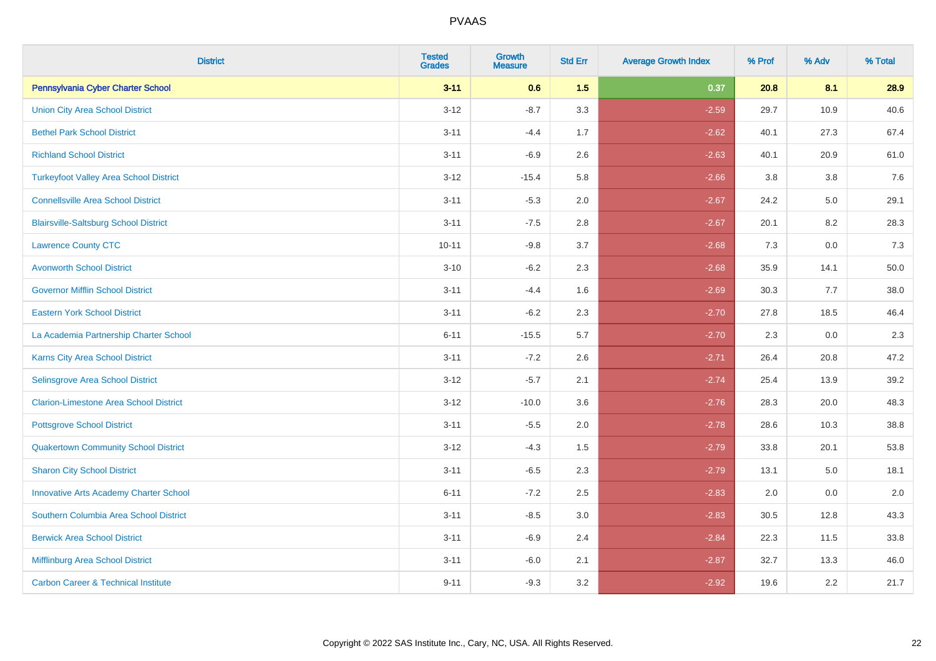| <b>District</b>                                | <b>Tested</b><br><b>Grades</b> | <b>Growth</b><br><b>Measure</b> | <b>Std Err</b> | <b>Average Growth Index</b> | % Prof | % Adv   | % Total |
|------------------------------------------------|--------------------------------|---------------------------------|----------------|-----------------------------|--------|---------|---------|
| Pennsylvania Cyber Charter School              | $3 - 11$                       | 0.6                             | 1.5            | 0.37                        | 20.8   | 8.1     | 28.9    |
| <b>Union City Area School District</b>         | $3 - 12$                       | $-8.7$                          | 3.3            | $-2.59$                     | 29.7   | 10.9    | 40.6    |
| <b>Bethel Park School District</b>             | $3 - 11$                       | $-4.4$                          | 1.7            | $-2.62$                     | 40.1   | 27.3    | 67.4    |
| <b>Richland School District</b>                | $3 - 11$                       | $-6.9$                          | 2.6            | $-2.63$                     | 40.1   | 20.9    | 61.0    |
| <b>Turkeyfoot Valley Area School District</b>  | $3 - 12$                       | $-15.4$                         | 5.8            | $-2.66$                     | 3.8    | 3.8     | 7.6     |
| <b>Connellsville Area School District</b>      | $3 - 11$                       | $-5.3$                          | 2.0            | $-2.67$                     | 24.2   | $5.0\,$ | 29.1    |
| <b>Blairsville-Saltsburg School District</b>   | $3 - 11$                       | $-7.5$                          | 2.8            | $-2.67$                     | 20.1   | 8.2     | 28.3    |
| <b>Lawrence County CTC</b>                     | $10 - 11$                      | $-9.8$                          | 3.7            | $-2.68$                     | 7.3    | 0.0     | 7.3     |
| <b>Avonworth School District</b>               | $3 - 10$                       | $-6.2$                          | 2.3            | $-2.68$                     | 35.9   | 14.1    | 50.0    |
| <b>Governor Mifflin School District</b>        | $3 - 11$                       | $-4.4$                          | 1.6            | $-2.69$                     | 30.3   | 7.7     | 38.0    |
| <b>Eastern York School District</b>            | $3 - 11$                       | $-6.2$                          | 2.3            | $-2.70$                     | 27.8   | 18.5    | 46.4    |
| La Academia Partnership Charter School         | $6 - 11$                       | $-15.5$                         | 5.7            | $-2.70$                     | 2.3    | 0.0     | 2.3     |
| Karns City Area School District                | $3 - 11$                       | $-7.2$                          | 2.6            | $-2.71$                     | 26.4   | 20.8    | 47.2    |
| Selinsgrove Area School District               | $3 - 12$                       | $-5.7$                          | 2.1            | $-2.74$                     | 25.4   | 13.9    | 39.2    |
| <b>Clarion-Limestone Area School District</b>  | $3 - 12$                       | $-10.0$                         | 3.6            | $-2.76$                     | 28.3   | 20.0    | 48.3    |
| <b>Pottsgrove School District</b>              | $3 - 11$                       | $-5.5$                          | 2.0            | $-2.78$                     | 28.6   | 10.3    | 38.8    |
| <b>Quakertown Community School District</b>    | $3 - 12$                       | $-4.3$                          | 1.5            | $-2.79$                     | 33.8   | 20.1    | 53.8    |
| <b>Sharon City School District</b>             | $3 - 11$                       | $-6.5$                          | 2.3            | $-2.79$                     | 13.1   | 5.0     | 18.1    |
| <b>Innovative Arts Academy Charter School</b>  | $6 - 11$                       | $-7.2$                          | 2.5            | $-2.83$                     | 2.0    | 0.0     | 2.0     |
| Southern Columbia Area School District         | $3 - 11$                       | $-8.5$                          | 3.0            | $-2.83$                     | 30.5   | 12.8    | 43.3    |
| <b>Berwick Area School District</b>            | $3 - 11$                       | $-6.9$                          | 2.4            | $-2.84$                     | 22.3   | 11.5    | 33.8    |
| Mifflinburg Area School District               | $3 - 11$                       | $-6.0$                          | 2.1            | $-2.87$                     | 32.7   | 13.3    | 46.0    |
| <b>Carbon Career &amp; Technical Institute</b> | $9 - 11$                       | $-9.3$                          | 3.2            | $-2.92$                     | 19.6   | 2.2     | 21.7    |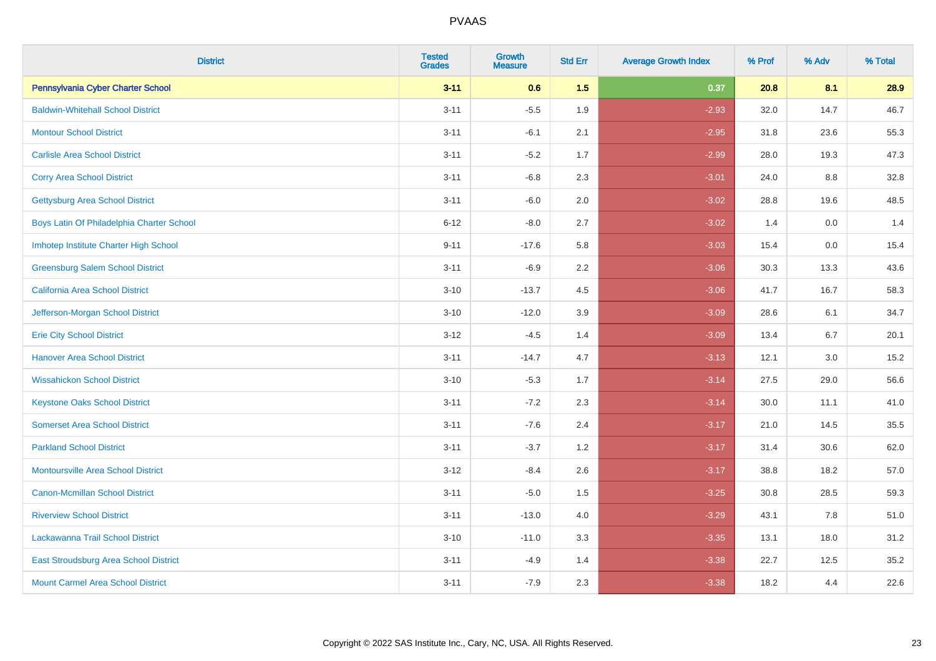| <b>District</b>                           | <b>Tested</b><br><b>Grades</b> | <b>Growth</b><br><b>Measure</b> | <b>Std Err</b> | <b>Average Growth Index</b> | % Prof | % Adv   | % Total |
|-------------------------------------------|--------------------------------|---------------------------------|----------------|-----------------------------|--------|---------|---------|
| Pennsylvania Cyber Charter School         | $3 - 11$                       | 0.6                             | 1.5            | 0.37                        | 20.8   | 8.1     | 28.9    |
| <b>Baldwin-Whitehall School District</b>  | $3 - 11$                       | $-5.5$                          | 1.9            | $-2.93$                     | 32.0   | 14.7    | 46.7    |
| <b>Montour School District</b>            | $3 - 11$                       | $-6.1$                          | 2.1            | $-2.95$                     | 31.8   | 23.6    | 55.3    |
| <b>Carlisle Area School District</b>      | $3 - 11$                       | $-5.2$                          | 1.7            | $-2.99$                     | 28.0   | 19.3    | 47.3    |
| <b>Corry Area School District</b>         | $3 - 11$                       | $-6.8$                          | 2.3            | $-3.01$                     | 24.0   | 8.8     | 32.8    |
| <b>Gettysburg Area School District</b>    | $3 - 11$                       | $-6.0$                          | 2.0            | $-3.02$                     | 28.8   | 19.6    | 48.5    |
| Boys Latin Of Philadelphia Charter School | $6 - 12$                       | $-8.0$                          | 2.7            | $-3.02$                     | 1.4    | 0.0     | 1.4     |
| Imhotep Institute Charter High School     | $9 - 11$                       | $-17.6$                         | 5.8            | $-3.03$                     | 15.4   | 0.0     | 15.4    |
| <b>Greensburg Salem School District</b>   | $3 - 11$                       | $-6.9$                          | 2.2            | $-3.06$                     | 30.3   | 13.3    | 43.6    |
| California Area School District           | $3 - 10$                       | $-13.7$                         | 4.5            | $-3.06$                     | 41.7   | 16.7    | 58.3    |
| Jefferson-Morgan School District          | $3 - 10$                       | $-12.0$                         | 3.9            | $-3.09$                     | 28.6   | 6.1     | 34.7    |
| <b>Erie City School District</b>          | $3 - 12$                       | $-4.5$                          | 1.4            | $-3.09$                     | 13.4   | 6.7     | 20.1    |
| <b>Hanover Area School District</b>       | $3 - 11$                       | $-14.7$                         | 4.7            | $-3.13$                     | 12.1   | $3.0\,$ | 15.2    |
| <b>Wissahickon School District</b>        | $3 - 10$                       | $-5.3$                          | 1.7            | $-3.14$                     | 27.5   | 29.0    | 56.6    |
| <b>Keystone Oaks School District</b>      | $3 - 11$                       | $-7.2$                          | 2.3            | $-3.14$                     | 30.0   | 11.1    | 41.0    |
| <b>Somerset Area School District</b>      | $3 - 11$                       | $-7.6$                          | 2.4            | $-3.17$                     | 21.0   | 14.5    | 35.5    |
| <b>Parkland School District</b>           | $3 - 11$                       | $-3.7$                          | 1.2            | $-3.17$                     | 31.4   | 30.6    | 62.0    |
| <b>Montoursville Area School District</b> | $3 - 12$                       | $-8.4$                          | 2.6            | $-3.17$                     | 38.8   | 18.2    | 57.0    |
| <b>Canon-Mcmillan School District</b>     | $3 - 11$                       | $-5.0$                          | 1.5            | $-3.25$                     | 30.8   | 28.5    | 59.3    |
| <b>Riverview School District</b>          | $3 - 11$                       | $-13.0$                         | 4.0            | $-3.29$                     | 43.1   | 7.8     | 51.0    |
| Lackawanna Trail School District          | $3 - 10$                       | $-11.0$                         | 3.3            | $-3.35$                     | 13.1   | 18.0    | 31.2    |
| East Stroudsburg Area School District     | $3 - 11$                       | $-4.9$                          | 1.4            | $-3.38$                     | 22.7   | 12.5    | 35.2    |
| <b>Mount Carmel Area School District</b>  | $3 - 11$                       | $-7.9$                          | 2.3            | $-3.38$                     | 18.2   | 4.4     | 22.6    |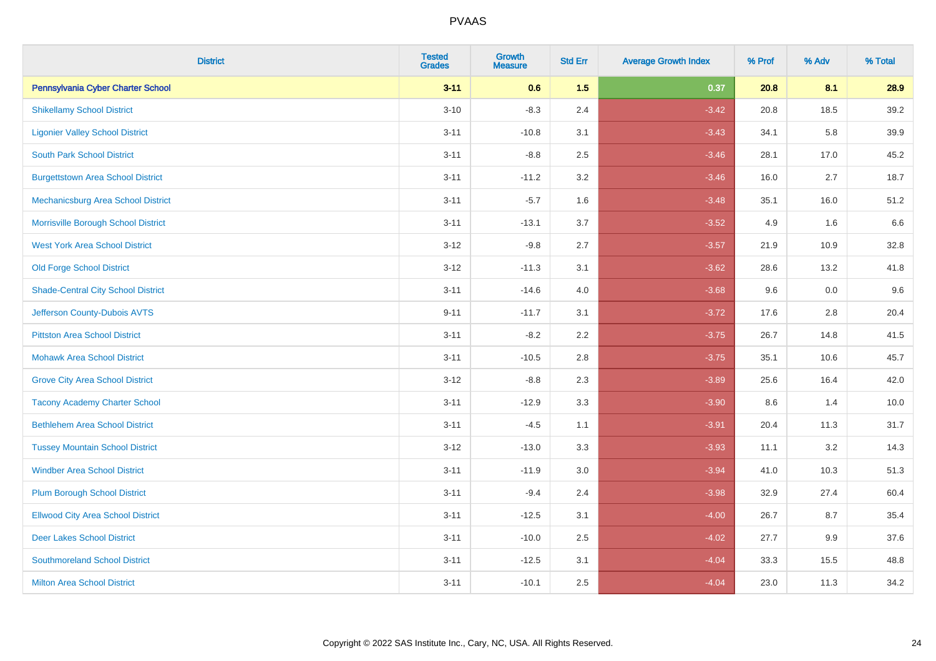| <b>District</b>                           | <b>Tested</b><br><b>Grades</b> | <b>Growth</b><br><b>Measure</b> | <b>Std Err</b> | <b>Average Growth Index</b> | % Prof | % Adv | % Total |
|-------------------------------------------|--------------------------------|---------------------------------|----------------|-----------------------------|--------|-------|---------|
| Pennsylvania Cyber Charter School         | $3 - 11$                       | 0.6                             | 1.5            | 0.37                        | 20.8   | 8.1   | 28.9    |
| <b>Shikellamy School District</b>         | $3 - 10$                       | $-8.3$                          | 2.4            | $-3.42$                     | 20.8   | 18.5  | 39.2    |
| <b>Ligonier Valley School District</b>    | $3 - 11$                       | $-10.8$                         | 3.1            | $-3.43$                     | 34.1   | 5.8   | 39.9    |
| <b>South Park School District</b>         | $3 - 11$                       | $-8.8$                          | 2.5            | $-3.46$                     | 28.1   | 17.0  | 45.2    |
| <b>Burgettstown Area School District</b>  | $3 - 11$                       | $-11.2$                         | 3.2            | $-3.46$                     | 16.0   | 2.7   | 18.7    |
| Mechanicsburg Area School District        | $3 - 11$                       | $-5.7$                          | 1.6            | $-3.48$                     | 35.1   | 16.0  | 51.2    |
| Morrisville Borough School District       | $3 - 11$                       | $-13.1$                         | 3.7            | $-3.52$                     | 4.9    | 1.6   | 6.6     |
| <b>West York Area School District</b>     | $3 - 12$                       | $-9.8$                          | 2.7            | $-3.57$                     | 21.9   | 10.9  | 32.8    |
| <b>Old Forge School District</b>          | $3 - 12$                       | $-11.3$                         | 3.1            | $-3.62$                     | 28.6   | 13.2  | 41.8    |
| <b>Shade-Central City School District</b> | $3 - 11$                       | $-14.6$                         | 4.0            | $-3.68$                     | 9.6    | 0.0   | 9.6     |
| Jefferson County-Dubois AVTS              | $9 - 11$                       | $-11.7$                         | 3.1            | $-3.72$                     | 17.6   | 2.8   | 20.4    |
| <b>Pittston Area School District</b>      | $3 - 11$                       | $-8.2$                          | 2.2            | $-3.75$                     | 26.7   | 14.8  | 41.5    |
| <b>Mohawk Area School District</b>        | $3 - 11$                       | $-10.5$                         | 2.8            | $-3.75$                     | 35.1   | 10.6  | 45.7    |
| <b>Grove City Area School District</b>    | $3 - 12$                       | $-8.8$                          | 2.3            | $-3.89$                     | 25.6   | 16.4  | 42.0    |
| <b>Tacony Academy Charter School</b>      | $3 - 11$                       | $-12.9$                         | 3.3            | $-3.90$                     | 8.6    | 1.4   | 10.0    |
| <b>Bethlehem Area School District</b>     | $3 - 11$                       | $-4.5$                          | 1.1            | $-3.91$                     | 20.4   | 11.3  | 31.7    |
| <b>Tussey Mountain School District</b>    | $3 - 12$                       | $-13.0$                         | 3.3            | $-3.93$                     | 11.1   | 3.2   | 14.3    |
| <b>Windber Area School District</b>       | $3 - 11$                       | $-11.9$                         | 3.0            | $-3.94$                     | 41.0   | 10.3  | 51.3    |
| <b>Plum Borough School District</b>       | $3 - 11$                       | $-9.4$                          | 2.4            | $-3.98$                     | 32.9   | 27.4  | 60.4    |
| <b>Ellwood City Area School District</b>  | $3 - 11$                       | $-12.5$                         | 3.1            | $-4.00$                     | 26.7   | 8.7   | 35.4    |
| <b>Deer Lakes School District</b>         | $3 - 11$                       | $-10.0$                         | 2.5            | $-4.02$                     | 27.7   | 9.9   | 37.6    |
| <b>Southmoreland School District</b>      | $3 - 11$                       | $-12.5$                         | 3.1            | $-4.04$                     | 33.3   | 15.5  | 48.8    |
| <b>Milton Area School District</b>        | $3 - 11$                       | $-10.1$                         | 2.5            | $-4.04$                     | 23.0   | 11.3  | 34.2    |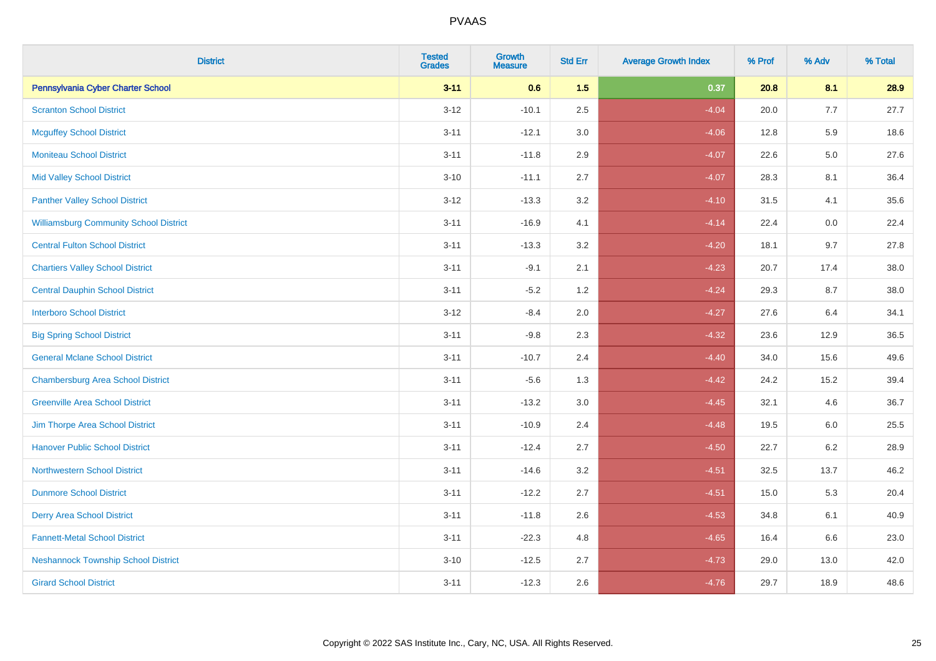| <b>District</b>                               | <b>Tested</b><br><b>Grades</b> | Growth<br>Measure | <b>Std Err</b> | <b>Average Growth Index</b> | % Prof | % Adv   | % Total |
|-----------------------------------------------|--------------------------------|-------------------|----------------|-----------------------------|--------|---------|---------|
| Pennsylvania Cyber Charter School             | $3 - 11$                       | 0.6               | 1.5            | 0.37                        | 20.8   | 8.1     | 28.9    |
| <b>Scranton School District</b>               | $3 - 12$                       | $-10.1$           | 2.5            | $-4.04$                     | 20.0   | 7.7     | 27.7    |
| <b>Mcguffey School District</b>               | $3 - 11$                       | $-12.1$           | 3.0            | $-4.06$                     | 12.8   | 5.9     | 18.6    |
| <b>Moniteau School District</b>               | $3 - 11$                       | $-11.8$           | 2.9            | $-4.07$                     | 22.6   | 5.0     | 27.6    |
| <b>Mid Valley School District</b>             | $3 - 10$                       | $-11.1$           | 2.7            | $-4.07$                     | 28.3   | 8.1     | 36.4    |
| <b>Panther Valley School District</b>         | $3 - 12$                       | $-13.3$           | 3.2            | $-4.10$                     | 31.5   | 4.1     | 35.6    |
| <b>Williamsburg Community School District</b> | $3 - 11$                       | $-16.9$           | 4.1            | $-4.14$                     | 22.4   | 0.0     | 22.4    |
| <b>Central Fulton School District</b>         | $3 - 11$                       | $-13.3$           | 3.2            | $-4.20$                     | 18.1   | 9.7     | 27.8    |
| <b>Chartiers Valley School District</b>       | $3 - 11$                       | $-9.1$            | 2.1            | $-4.23$                     | 20.7   | 17.4    | 38.0    |
| <b>Central Dauphin School District</b>        | $3 - 11$                       | $-5.2$            | 1.2            | $-4.24$                     | 29.3   | 8.7     | 38.0    |
| <b>Interboro School District</b>              | $3 - 12$                       | $-8.4$            | 2.0            | $-4.27$                     | 27.6   | 6.4     | 34.1    |
| <b>Big Spring School District</b>             | $3 - 11$                       | $-9.8$            | 2.3            | $-4.32$                     | 23.6   | 12.9    | 36.5    |
| <b>General Mclane School District</b>         | $3 - 11$                       | $-10.7$           | 2.4            | $-4.40$                     | 34.0   | 15.6    | 49.6    |
| <b>Chambersburg Area School District</b>      | $3 - 11$                       | $-5.6$            | 1.3            | $-4.42$                     | 24.2   | 15.2    | 39.4    |
| <b>Greenville Area School District</b>        | $3 - 11$                       | $-13.2$           | 3.0            | $-4.45$                     | 32.1   | 4.6     | 36.7    |
| Jim Thorpe Area School District               | $3 - 11$                       | $-10.9$           | 2.4            | $-4.48$                     | 19.5   | $6.0\,$ | 25.5    |
| <b>Hanover Public School District</b>         | $3 - 11$                       | $-12.4$           | 2.7            | $-4.50$                     | 22.7   | $6.2\,$ | 28.9    |
| <b>Northwestern School District</b>           | $3 - 11$                       | $-14.6$           | 3.2            | $-4.51$                     | 32.5   | 13.7    | 46.2    |
| <b>Dunmore School District</b>                | $3 - 11$                       | $-12.2$           | 2.7            | $-4.51$                     | 15.0   | 5.3     | 20.4    |
| <b>Derry Area School District</b>             | $3 - 11$                       | $-11.8$           | 2.6            | $-4.53$                     | 34.8   | 6.1     | 40.9    |
| <b>Fannett-Metal School District</b>          | $3 - 11$                       | $-22.3$           | 4.8            | $-4.65$                     | 16.4   | 6.6     | 23.0    |
| <b>Neshannock Township School District</b>    | $3 - 10$                       | $-12.5$           | 2.7            | $-4.73$                     | 29.0   | 13.0    | 42.0    |
| <b>Girard School District</b>                 | $3 - 11$                       | $-12.3$           | 2.6            | $-4.76$                     | 29.7   | 18.9    | 48.6    |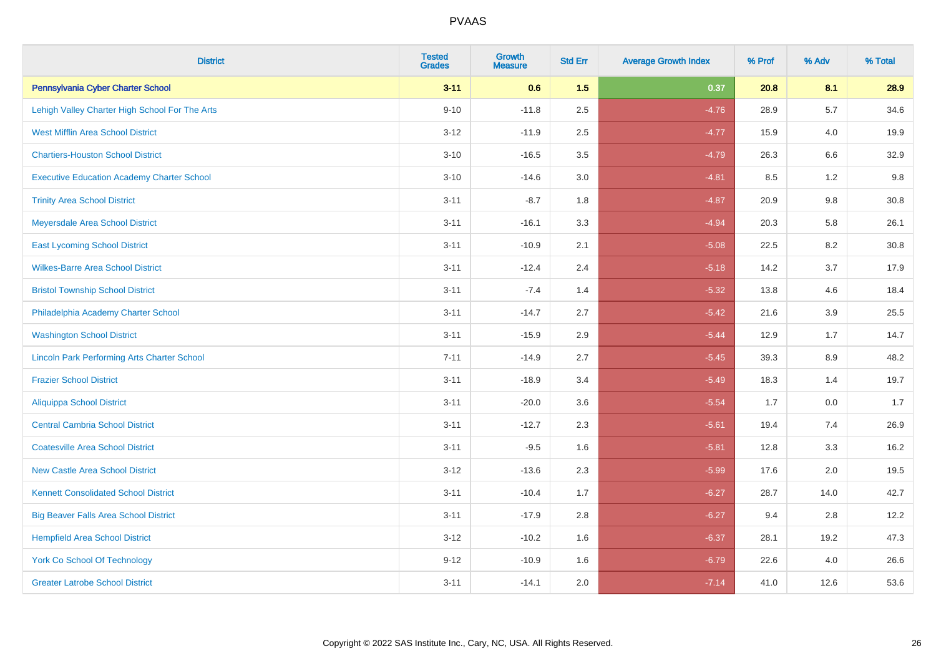| <b>District</b>                                    | <b>Tested</b><br><b>Grades</b> | <b>Growth</b><br><b>Measure</b> | <b>Std Err</b> | <b>Average Growth Index</b> | % Prof | % Adv   | % Total |
|----------------------------------------------------|--------------------------------|---------------------------------|----------------|-----------------------------|--------|---------|---------|
| Pennsylvania Cyber Charter School                  | $3 - 11$                       | 0.6                             | 1.5            | 0.37                        | 20.8   | 8.1     | 28.9    |
| Lehigh Valley Charter High School For The Arts     | $9 - 10$                       | $-11.8$                         | 2.5            | $-4.76$                     | 28.9   | 5.7     | 34.6    |
| <b>West Mifflin Area School District</b>           | $3 - 12$                       | $-11.9$                         | 2.5            | $-4.77$                     | 15.9   | 4.0     | 19.9    |
| <b>Chartiers-Houston School District</b>           | $3 - 10$                       | $-16.5$                         | 3.5            | $-4.79$                     | 26.3   | $6.6\,$ | 32.9    |
| <b>Executive Education Academy Charter School</b>  | $3 - 10$                       | $-14.6$                         | 3.0            | $-4.81$                     | 8.5    | 1.2     | 9.8     |
| <b>Trinity Area School District</b>                | $3 - 11$                       | $-8.7$                          | 1.8            | $-4.87$                     | 20.9   | $9.8\,$ | 30.8    |
| Meyersdale Area School District                    | $3 - 11$                       | $-16.1$                         | 3.3            | $-4.94$                     | 20.3   | 5.8     | 26.1    |
| <b>East Lycoming School District</b>               | $3 - 11$                       | $-10.9$                         | 2.1            | $-5.08$                     | 22.5   | 8.2     | 30.8    |
| <b>Wilkes-Barre Area School District</b>           | $3 - 11$                       | $-12.4$                         | 2.4            | $-5.18$                     | 14.2   | 3.7     | 17.9    |
| <b>Bristol Township School District</b>            | $3 - 11$                       | $-7.4$                          | 1.4            | $-5.32$                     | 13.8   | 4.6     | 18.4    |
| Philadelphia Academy Charter School                | $3 - 11$                       | $-14.7$                         | 2.7            | $-5.42$                     | 21.6   | 3.9     | 25.5    |
| <b>Washington School District</b>                  | $3 - 11$                       | $-15.9$                         | 2.9            | $-5.44$                     | 12.9   | 1.7     | 14.7    |
| <b>Lincoln Park Performing Arts Charter School</b> | $7 - 11$                       | $-14.9$                         | 2.7            | $-5.45$                     | 39.3   | $8.9\,$ | 48.2    |
| <b>Frazier School District</b>                     | $3 - 11$                       | $-18.9$                         | 3.4            | $-5.49$                     | 18.3   | 1.4     | 19.7    |
| <b>Aliquippa School District</b>                   | $3 - 11$                       | $-20.0$                         | 3.6            | $-5.54$                     | 1.7    | 0.0     | 1.7     |
| <b>Central Cambria School District</b>             | $3 - 11$                       | $-12.7$                         | 2.3            | $-5.61$                     | 19.4   | 7.4     | 26.9    |
| <b>Coatesville Area School District</b>            | $3 - 11$                       | $-9.5$                          | 1.6            | $-5.81$                     | 12.8   | 3.3     | 16.2    |
| <b>New Castle Area School District</b>             | $3 - 12$                       | $-13.6$                         | 2.3            | $-5.99$                     | 17.6   | 2.0     | 19.5    |
| <b>Kennett Consolidated School District</b>        | $3 - 11$                       | $-10.4$                         | 1.7            | $-6.27$                     | 28.7   | 14.0    | 42.7    |
| <b>Big Beaver Falls Area School District</b>       | $3 - 11$                       | $-17.9$                         | 2.8            | $-6.27$                     | 9.4    | 2.8     | 12.2    |
| <b>Hempfield Area School District</b>              | $3 - 12$                       | $-10.2$                         | 1.6            | $-6.37$                     | 28.1   | 19.2    | 47.3    |
| <b>York Co School Of Technology</b>                | $9 - 12$                       | $-10.9$                         | 1.6            | $-6.79$                     | 22.6   | 4.0     | 26.6    |
| <b>Greater Latrobe School District</b>             | $3 - 11$                       | $-14.1$                         | 2.0            | $-7.14$                     | 41.0   | 12.6    | 53.6    |